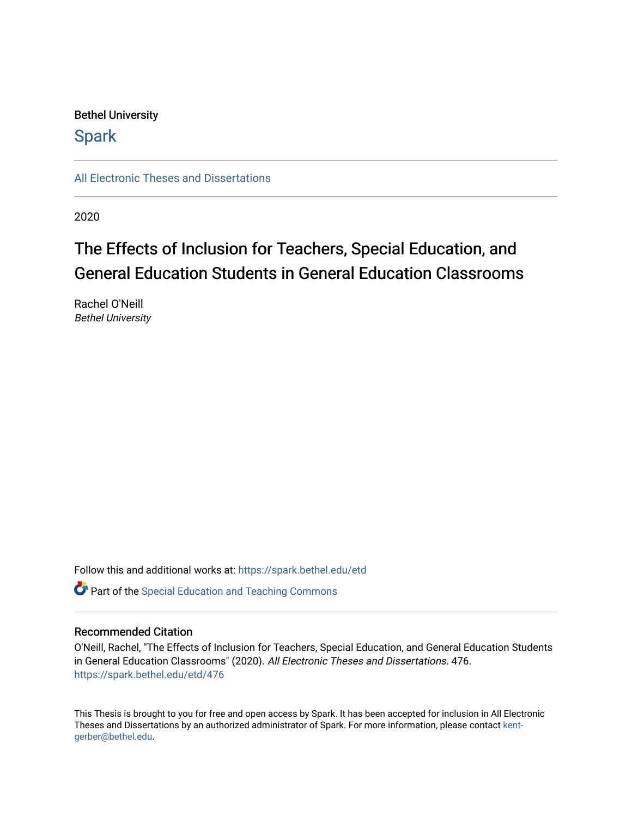# Bethel University

# **Spark**

[All Electronic Theses and Dissertations](https://spark.bethel.edu/etd) 

2020

# The Effects of Inclusion for Teachers, Special Education, and General Education Students in General Education Classrooms

Rachel O'Neill Bethel University

Follow this and additional works at: [https://spark.bethel.edu/etd](https://spark.bethel.edu/etd?utm_source=spark.bethel.edu%2Fetd%2F476&utm_medium=PDF&utm_campaign=PDFCoverPages)

**C** Part of the Special Education and Teaching Commons

## Recommended Citation

O'Neill, Rachel, "The Effects of Inclusion for Teachers, Special Education, and General Education Students in General Education Classrooms" (2020). All Electronic Theses and Dissertations. 476. [https://spark.bethel.edu/etd/476](https://spark.bethel.edu/etd/476?utm_source=spark.bethel.edu%2Fetd%2F476&utm_medium=PDF&utm_campaign=PDFCoverPages)

This Thesis is brought to you for free and open access by Spark. It has been accepted for inclusion in All Electronic Theses and Dissertations by an authorized administrator of Spark. For more information, please contact [kent](mailto:kent-gerber@bethel.edu)[gerber@bethel.edu.](mailto:kent-gerber@bethel.edu)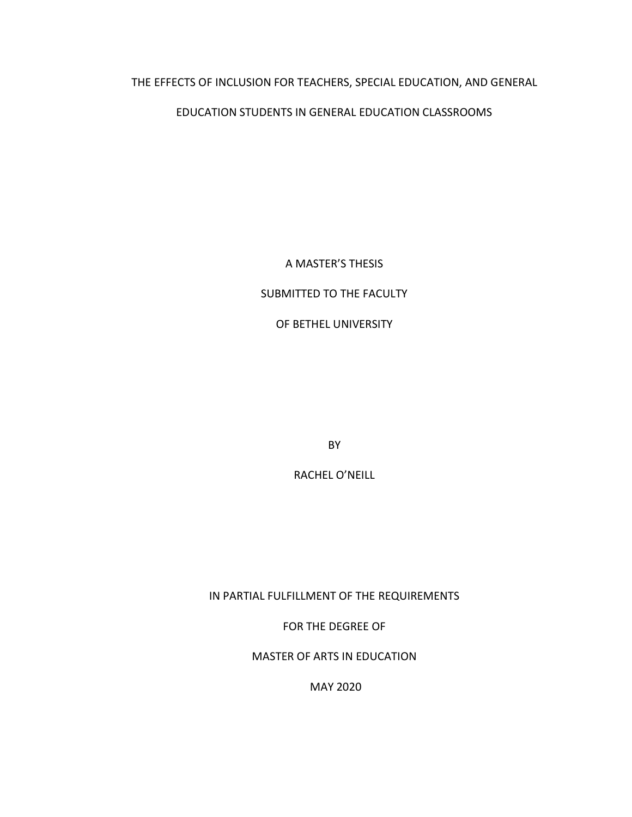# THE EFFECTS OF INCLUSION FOR TEACHERS, SPECIAL EDUCATION, AND GENERAL

# EDUCATION STUDENTS IN GENERAL EDUCATION CLASSROOMS

A MASTER'S THESIS

# SUBMITTED TO THE FACULTY

OF BETHEL UNIVERSITY

BY

RACHEL O'NEILL

IN PARTIAL FULFILLMENT OF THE REQUIREMENTS

FOR THE DEGREE OF

MASTER OF ARTS IN EDUCATION

MAY 2020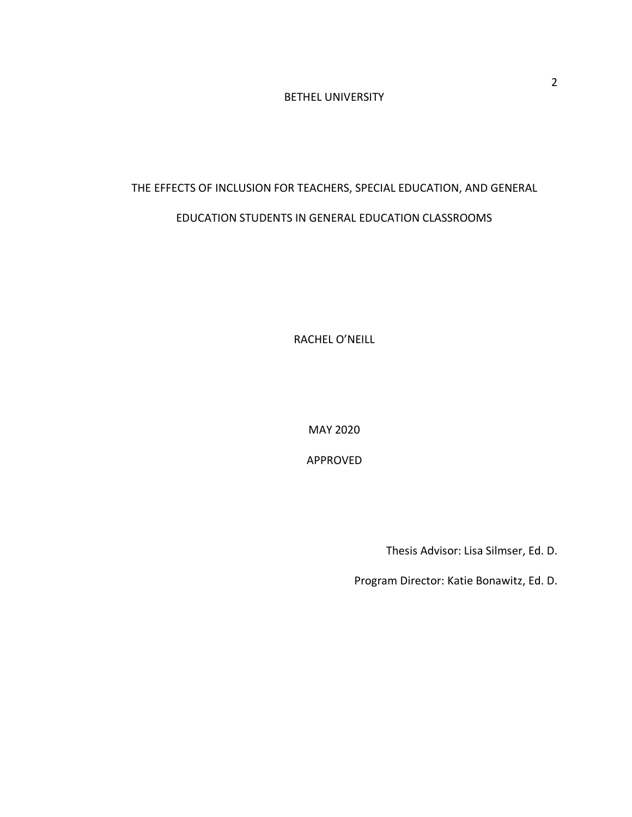# BETHEL UNIVERSITY

# THE EFFECTS OF INCLUSION FOR TEACHERS, SPECIAL EDUCATION, AND GENERAL EDUCATION STUDENTS IN GENERAL EDUCATION CLASSROOMS

RACHEL O'NEILL

MAY 2020

APPROVED

Thesis Advisor: Lisa Silmser, Ed. D.

Program Director: Katie Bonawitz, Ed. D.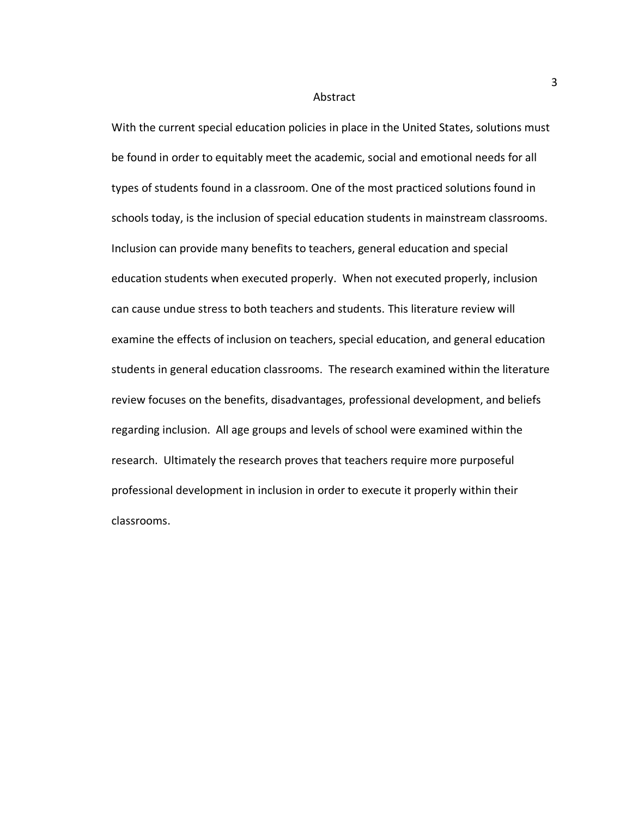#### Abstract

With the current special education policies in place in the United States, solutions must be found in order to equitably meet the academic, social and emotional needs for all types of students found in a classroom. One of the most practiced solutions found in schools today, is the inclusion of special education students in mainstream classrooms. Inclusion can provide many benefits to teachers, general education and special education students when executed properly. When not executed properly, inclusion can cause undue stress to both teachers and students. This literature review will examine the effects of inclusion on teachers, special education, and general education students in general education classrooms. The research examined within the literature review focuses on the benefits, disadvantages, professional development, and beliefs regarding inclusion. All age groups and levels of school were examined within the research. Ultimately the research proves that teachers require more purposeful professional development in inclusion in order to execute it properly within their classrooms.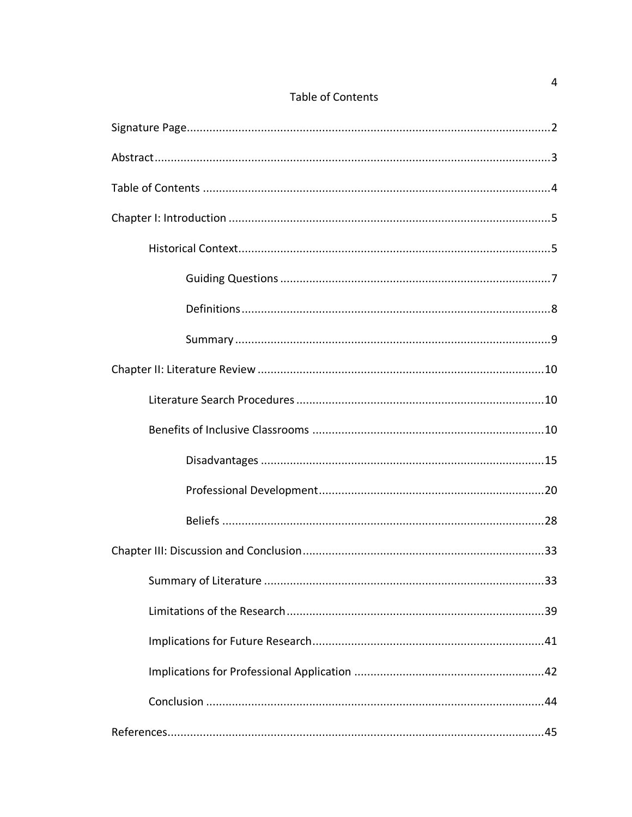| <b>Table of Contents</b> |
|--------------------------|
|--------------------------|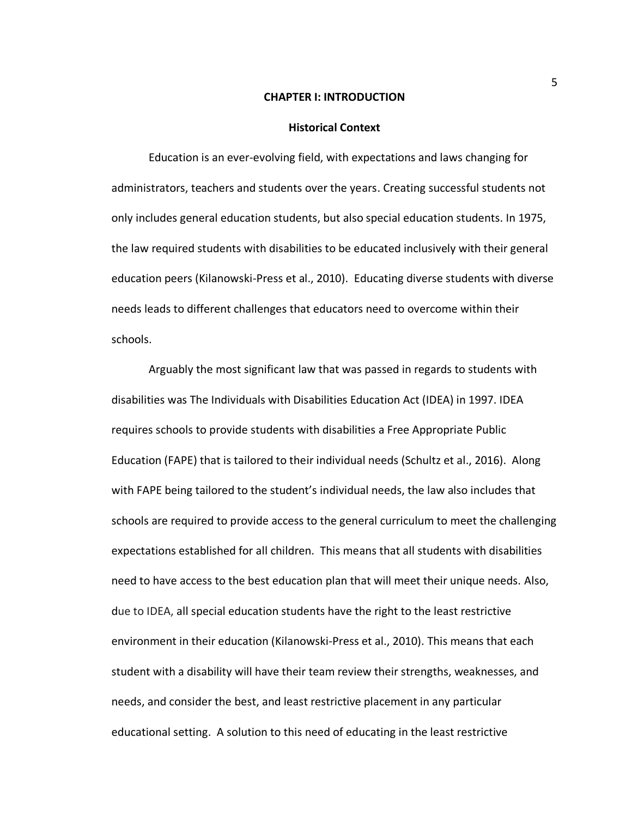#### **CHAPTER I: INTRODUCTION**

#### **Historical Context**

Education is an ever-evolving field, with expectations and laws changing for administrators, teachers and students over the years. Creating successful students not only includes general education students, but also special education students. In 1975, the law required students with disabilities to be educated inclusively with their general education peers (Kilanowski-Press et al., 2010). Educating diverse students with diverse needs leads to different challenges that educators need to overcome within their schools.

Arguably the most significant law that was passed in regards to students with disabilities was The Individuals with Disabilities Education Act (IDEA) in 1997. IDEA requires schools to provide students with disabilities a Free Appropriate Public Education (FAPE) that is tailored to their individual needs (Schultz et al., 2016). Along with FAPE being tailored to the student's individual needs, the law also includes that schools are required to provide access to the general curriculum to meet the challenging expectations established for all children. This means that all students with disabilities need to have access to the best education plan that will meet their unique needs. Also, due to IDEA, all special education students have the right to the least restrictive environment in their education (Kilanowski-Press et al., 2010). This means that each student with a disability will have their team review their strengths, weaknesses, and needs, and consider the best, and least restrictive placement in any particular educational setting. A solution to this need of educating in the least restrictive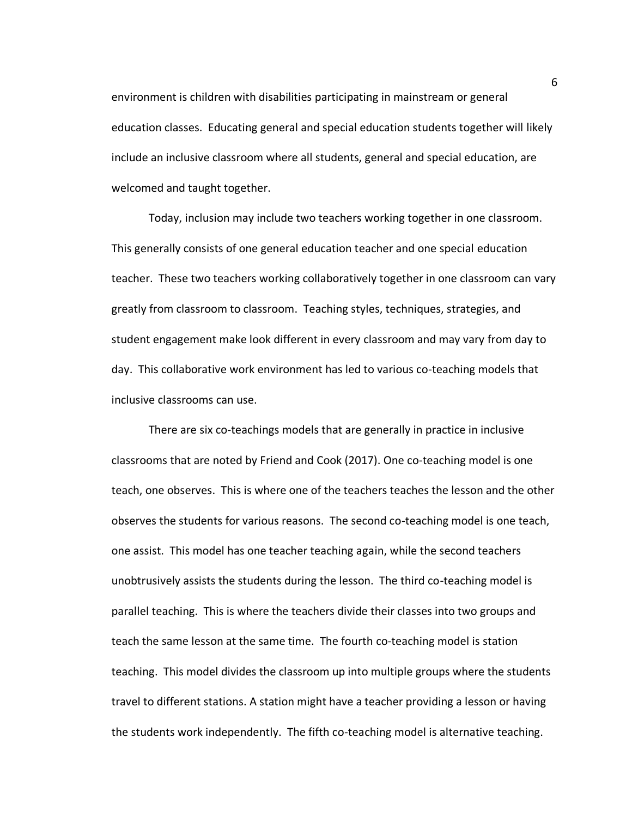environment is children with disabilities participating in mainstream or general education classes. Educating general and special education students together will likely include an inclusive classroom where all students, general and special education, are welcomed and taught together.

Today, inclusion may include two teachers working together in one classroom. This generally consists of one general education teacher and one special education teacher. These two teachers working collaboratively together in one classroom can vary greatly from classroom to classroom. Teaching styles, techniques, strategies, and student engagement make look different in every classroom and may vary from day to day. This collaborative work environment has led to various co-teaching models that inclusive classrooms can use.

There are six co-teachings models that are generally in practice in inclusive classrooms that are noted by Friend and Cook (2017). One co-teaching model is one teach, one observes. This is where one of the teachers teaches the lesson and the other observes the students for various reasons. The second co-teaching model is one teach, one assist. This model has one teacher teaching again, while the second teachers unobtrusively assists the students during the lesson. The third co-teaching model is parallel teaching. This is where the teachers divide their classes into two groups and teach the same lesson at the same time. The fourth co-teaching model is station teaching. This model divides the classroom up into multiple groups where the students travel to different stations. A station might have a teacher providing a lesson or having the students work independently. The fifth co-teaching model is alternative teaching.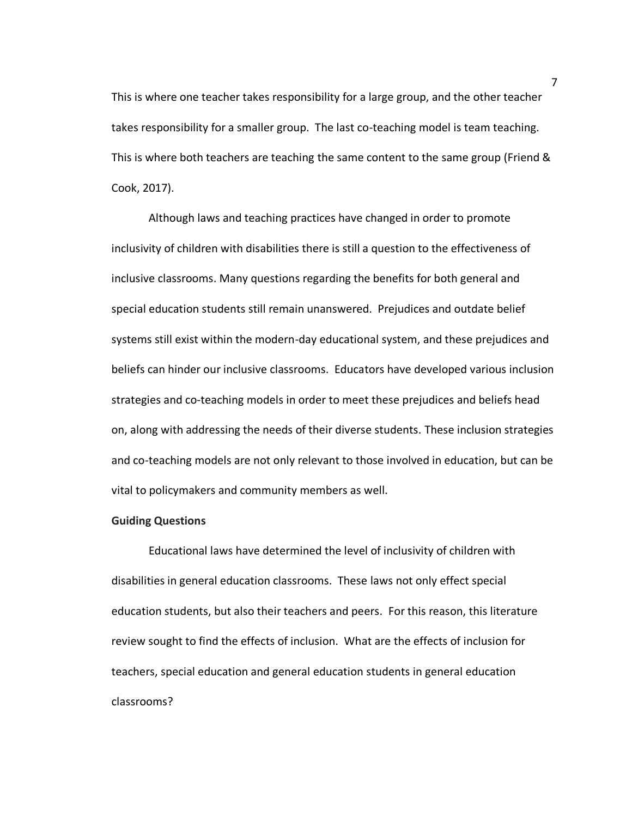This is where one teacher takes responsibility for a large group, and the other teacher takes responsibility for a smaller group. The last co-teaching model is team teaching. This is where both teachers are teaching the same content to the same group (Friend & Cook, 2017).

Although laws and teaching practices have changed in order to promote inclusivity of children with disabilities there is still a question to the effectiveness of inclusive classrooms. Many questions regarding the benefits for both general and special education students still remain unanswered. Prejudices and outdate belief systems still exist within the modern-day educational system, and these prejudices and beliefs can hinder our inclusive classrooms. Educators have developed various inclusion strategies and co-teaching models in order to meet these prejudices and beliefs head on, along with addressing the needs of their diverse students. These inclusion strategies and co-teaching models are not only relevant to those involved in education, but can be vital to policymakers and community members as well.

#### **Guiding Questions**

Educational laws have determined the level of inclusivity of children with disabilities in general education classrooms. These laws not only effect special education students, but also their teachers and peers. For this reason, this literature review sought to find the effects of inclusion. What are the effects of inclusion for teachers, special education and general education students in general education classrooms?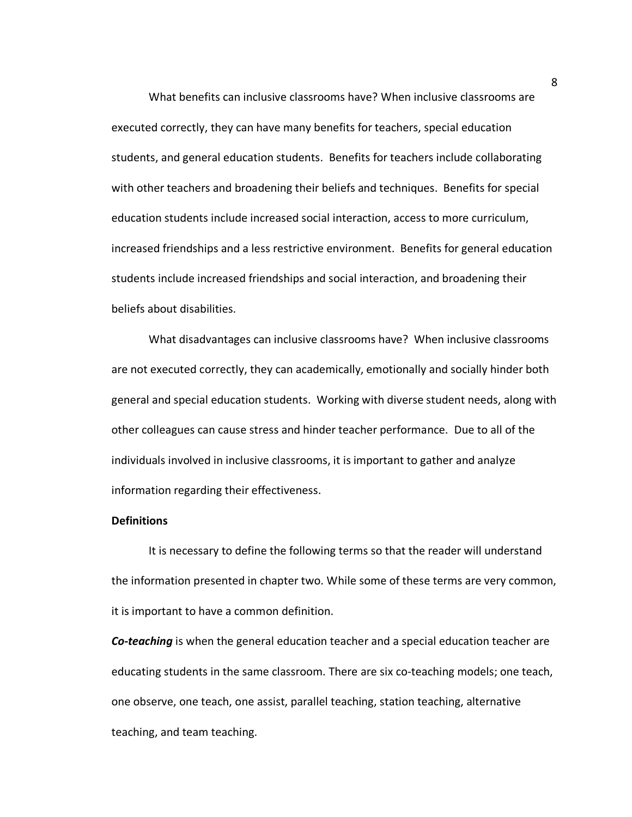What benefits can inclusive classrooms have? When inclusive classrooms are executed correctly, they can have many benefits for teachers, special education students, and general education students. Benefits for teachers include collaborating with other teachers and broadening their beliefs and techniques. Benefits for special education students include increased social interaction, access to more curriculum, increased friendships and a less restrictive environment. Benefits for general education students include increased friendships and social interaction, and broadening their beliefs about disabilities.

What disadvantages can inclusive classrooms have? When inclusive classrooms are not executed correctly, they can academically, emotionally and socially hinder both general and special education students. Working with diverse student needs, along with other colleagues can cause stress and hinder teacher performance. Due to all of the individuals involved in inclusive classrooms, it is important to gather and analyze information regarding their effectiveness.

## **Definitions**

It is necessary to define the following terms so that the reader will understand the information presented in chapter two. While some of these terms are very common, it is important to have a common definition.

*Co-teaching* is when the general education teacher and a special education teacher are educating students in the same classroom. There are six co-teaching models; one teach, one observe, one teach, one assist, parallel teaching, station teaching, alternative teaching, and team teaching.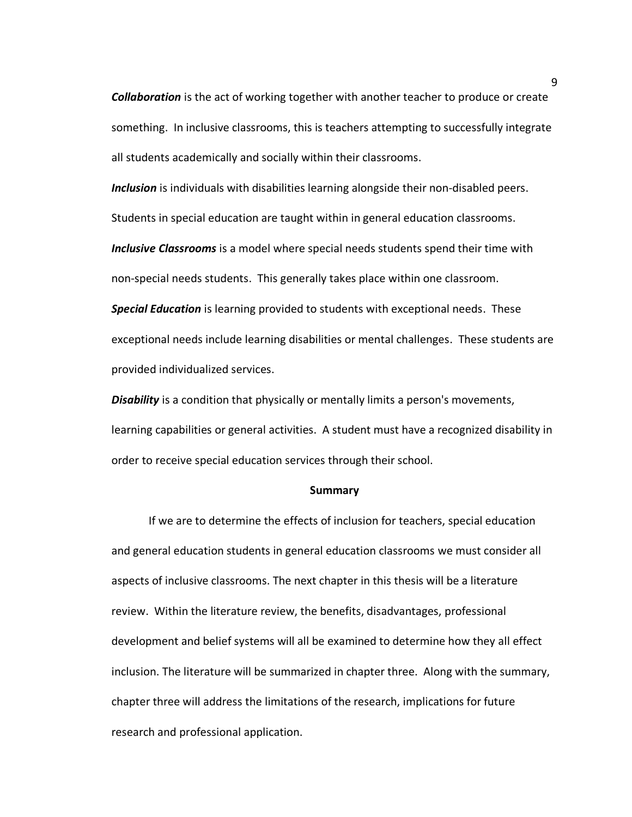*Collaboration* is the act of working together with another teacher to produce or create something. In inclusive classrooms, this is teachers attempting to successfully integrate all students academically and socially within their classrooms.

*Inclusion* is individuals with disabilities learning alongside their non-disabled peers.

Students in special education are taught within in general education classrooms.

*Inclusive Classrooms* is a model where special needs students spend their time with non-special needs students. This generally takes place within one classroom.

*Special Education* is learning provided to students with exceptional needs. These exceptional needs include learning disabilities or mental challenges. These students are provided individualized services.

*Disability* is a condition that physically or mentally limits a person's movements, learning capabilities or general activities. A student must have a recognized disability in order to receive special education services through their school.

#### **Summary**

If we are to determine the effects of inclusion for teachers, special education and general education students in general education classrooms we must consider all aspects of inclusive classrooms. The next chapter in this thesis will be a literature review. Within the literature review, the benefits, disadvantages, professional development and belief systems will all be examined to determine how they all effect inclusion. The literature will be summarized in chapter three. Along with the summary, chapter three will address the limitations of the research, implications for future research and professional application.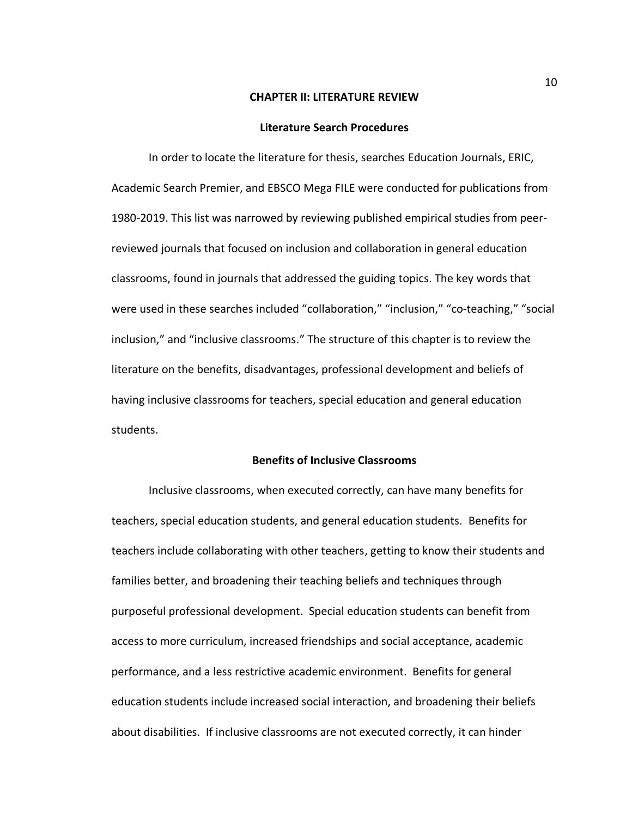#### **CHAPTER II: LITERATURE REVIEW**

#### **Literature Search Procedures**

In order to locate the literature for thesis, searches Education Journals, ERIC, Academic Search Premier, and EBSCO Mega FILE were conducted for publications from 1980-2019. This list was narrowed by reviewing published empirical studies from peerreviewed journals that focused on inclusion and collaboration in general education classrooms, found in journals that addressed the guiding topics. The key words that were used in these searches included "collaboration," "inclusion," "co-teaching," "social inclusion," and "inclusive classrooms." The structure of this chapter is to review the literature on the benefits, disadvantages, professional development and beliefs of having inclusive classrooms for teachers, special education and general education students.

## **Benefits of Inclusive Classrooms**

Inclusive classrooms, when executed correctly, can have many benefits for teachers, special education students, and general education students. Benefits for teachers include collaborating with other teachers, getting to know their students and families better, and broadening their teaching beliefs and techniques through purposeful professional development. Special education students can benefit from access to more curriculum, increased friendships and social acceptance, academic performance, and a less restrictive academic environment. Benefits for general education students include increased social interaction, and broadening their beliefs about disabilities. If inclusive classrooms are not executed correctly, it can hinder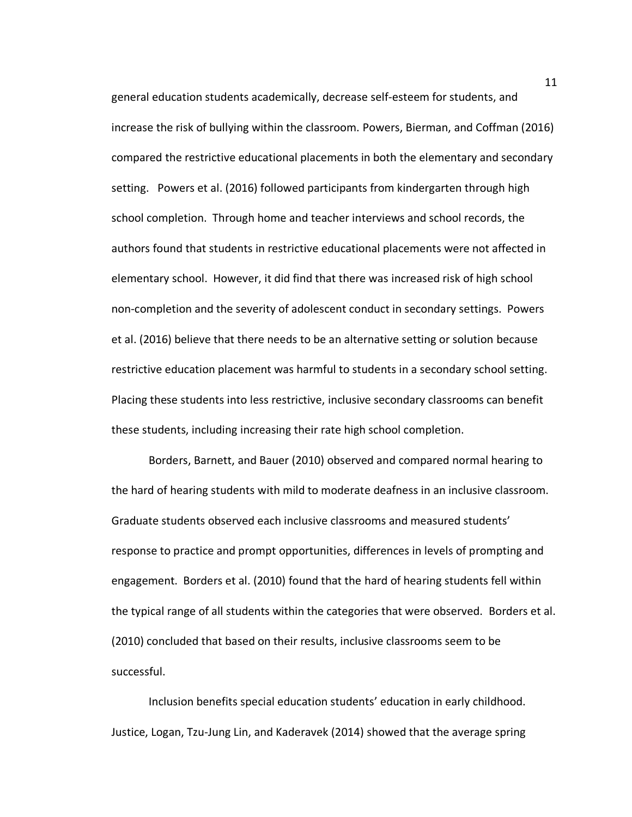general education students academically, decrease self-esteem for students, and increase the risk of bullying within the classroom. Powers, Bierman, and Coffman (2016) compared the restrictive educational placements in both the elementary and secondary setting. Powers et al. (2016) followed participants from kindergarten through high school completion. Through home and teacher interviews and school records, the authors found that students in restrictive educational placements were not affected in elementary school. However, it did find that there was increased risk of high school non-completion and the severity of adolescent conduct in secondary settings. Powers et al. (2016) believe that there needs to be an alternative setting or solution because restrictive education placement was harmful to students in a secondary school setting. Placing these students into less restrictive, inclusive secondary classrooms can benefit these students, including increasing their rate high school completion.

Borders, Barnett, and Bauer (2010) observed and compared normal hearing to the hard of hearing students with mild to moderate deafness in an inclusive classroom. Graduate students observed each inclusive classrooms and measured students' response to practice and prompt opportunities, differences in levels of prompting and engagement. Borders et al. (2010) found that the hard of hearing students fell within the typical range of all students within the categories that were observed. Borders et al. (2010) concluded that based on their results, inclusive classrooms seem to be successful.

Inclusion benefits special education students' education in early childhood. Justice, Logan, Tzu-Jung Lin, and Kaderavek (2014) showed that the average spring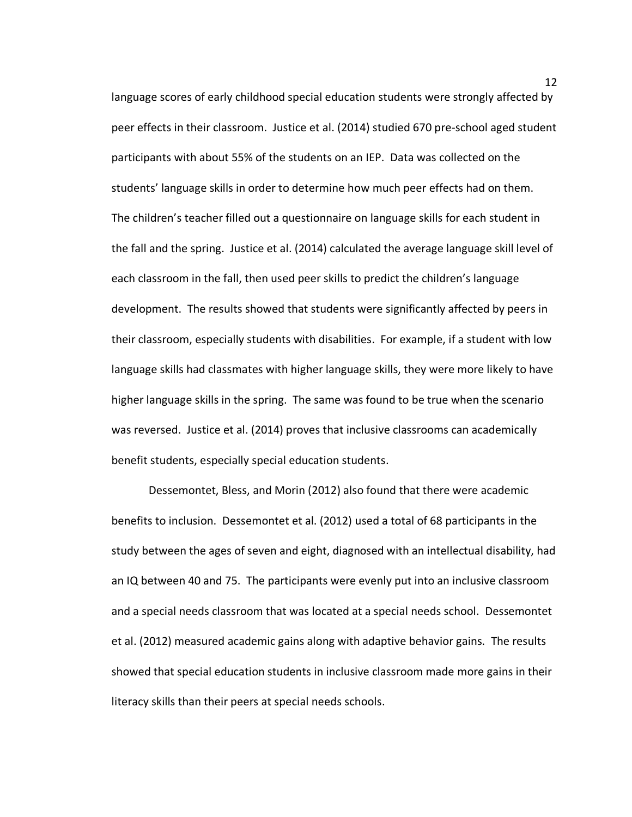language scores of early childhood special education students were strongly affected by peer effects in their classroom. Justice et al. (2014) studied 670 pre-school aged student participants with about 55% of the students on an IEP. Data was collected on the students' language skills in order to determine how much peer effects had on them. The children's teacher filled out a questionnaire on language skills for each student in the fall and the spring. Justice et al. (2014) calculated the average language skill level of each classroom in the fall, then used peer skills to predict the children's language development. The results showed that students were significantly affected by peers in their classroom, especially students with disabilities. For example, if a student with low language skills had classmates with higher language skills, they were more likely to have higher language skills in the spring. The same was found to be true when the scenario was reversed. Justice et al. (2014) proves that inclusive classrooms can academically benefit students, especially special education students.

Dessemontet, Bless, and Morin (2012) also found that there were academic benefits to inclusion. Dessemontet et al. (2012) used a total of 68 participants in the study between the ages of seven and eight, diagnosed with an intellectual disability, had an IQ between 40 and 75. The participants were evenly put into an inclusive classroom and a special needs classroom that was located at a special needs school. Dessemontet et al. (2012) measured academic gains along with adaptive behavior gains. The results showed that special education students in inclusive classroom made more gains in their literacy skills than their peers at special needs schools.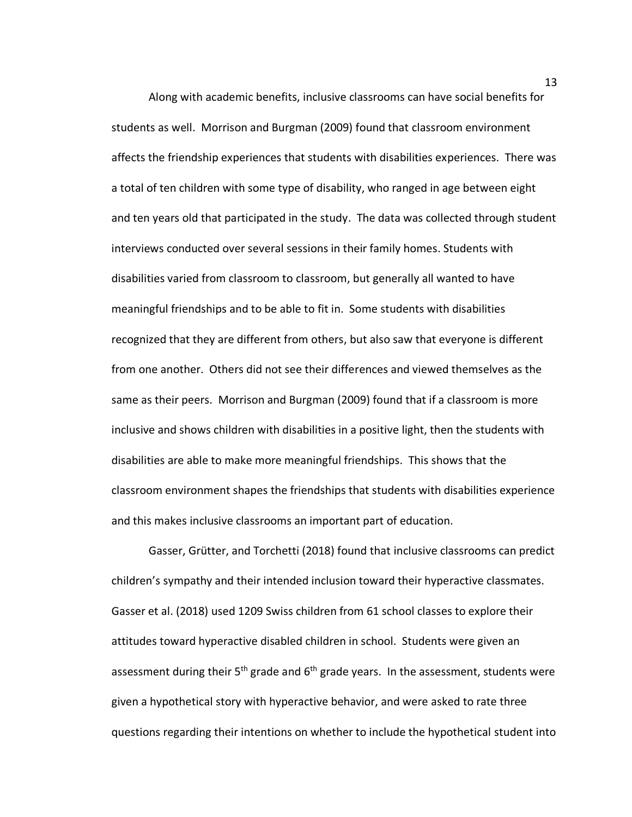Along with academic benefits, inclusive classrooms can have social benefits for students as well. Morrison and Burgman (2009) found that classroom environment affects the friendship experiences that students with disabilities experiences. There was a total of ten children with some type of disability, who ranged in age between eight and ten years old that participated in the study. The data was collected through student interviews conducted over several sessions in their family homes. Students with disabilities varied from classroom to classroom, but generally all wanted to have meaningful friendships and to be able to fit in. Some students with disabilities recognized that they are different from others, but also saw that everyone is different from one another. Others did not see their differences and viewed themselves as the same as their peers. Morrison and Burgman (2009) found that if a classroom is more inclusive and shows children with disabilities in a positive light, then the students with disabilities are able to make more meaningful friendships. This shows that the classroom environment shapes the friendships that students with disabilities experience and this makes inclusive classrooms an important part of education.

Gasser, Grütter, and Torchetti (2018) found that inclusive classrooms can predict children's sympathy and their intended inclusion toward their hyperactive classmates. Gasser et al. (2018) used 1209 Swiss children from 61 school classes to explore their attitudes toward hyperactive disabled children in school. Students were given an assessment during their  $5<sup>th</sup>$  grade and  $6<sup>th</sup>$  grade years. In the assessment, students were given a hypothetical story with hyperactive behavior, and were asked to rate three questions regarding their intentions on whether to include the hypothetical student into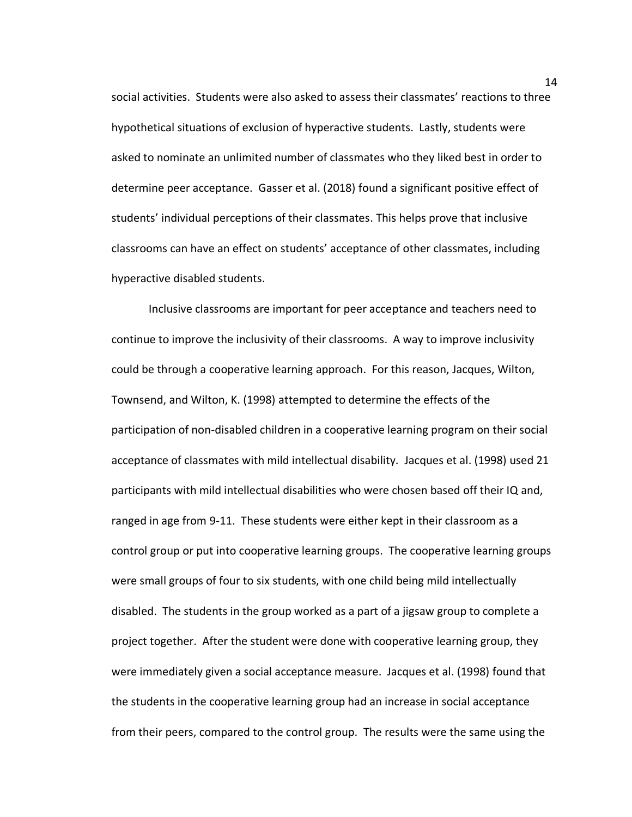social activities. Students were also asked to assess their classmates' reactions to three hypothetical situations of exclusion of hyperactive students. Lastly, students were asked to nominate an unlimited number of classmates who they liked best in order to determine peer acceptance. Gasser et al. (2018) found a significant positive effect of students' individual perceptions of their classmates. This helps prove that inclusive classrooms can have an effect on students' acceptance of other classmates, including hyperactive disabled students.

Inclusive classrooms are important for peer acceptance and teachers need to continue to improve the inclusivity of their classrooms. A way to improve inclusivity could be through a cooperative learning approach. For this reason, Jacques, Wilton, Townsend, and Wilton, K. (1998) attempted to determine the effects of the participation of non-disabled children in a cooperative learning program on their social acceptance of classmates with mild intellectual disability. Jacques et al. (1998) used 21 participants with mild intellectual disabilities who were chosen based off their IQ and, ranged in age from 9-11. These students were either kept in their classroom as a control group or put into cooperative learning groups. The cooperative learning groups were small groups of four to six students, with one child being mild intellectually disabled. The students in the group worked as a part of a jigsaw group to complete a project together. After the student were done with cooperative learning group, they were immediately given a social acceptance measure. Jacques et al. (1998) found that the students in the cooperative learning group had an increase in social acceptance from their peers, compared to the control group. The results were the same using the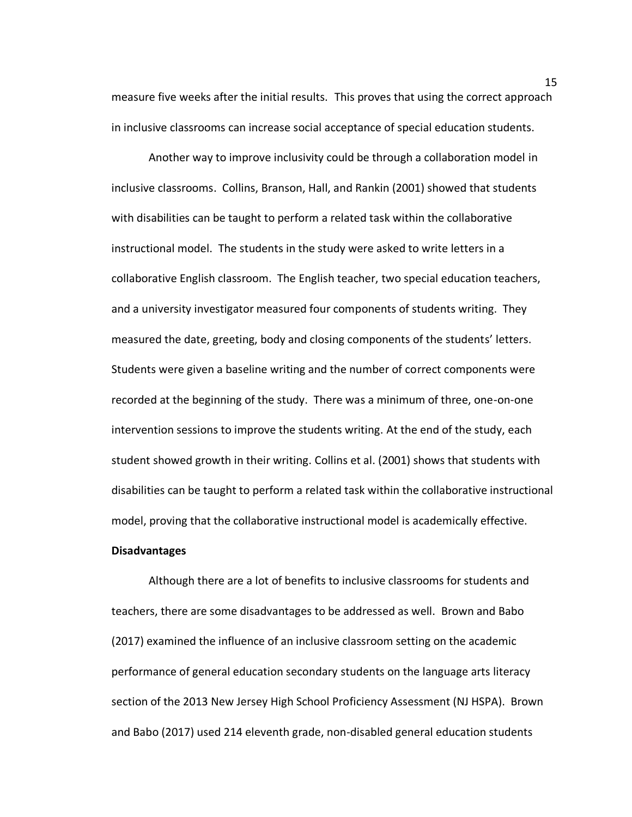measure five weeks after the initial results.This proves that using the correct approach in inclusive classrooms can increase social acceptance of special education students.

Another way to improve inclusivity could be through a collaboration model in inclusive classrooms. Collins, Branson, Hall, and Rankin (2001) showed that students with disabilities can be taught to perform a related task within the collaborative instructional model. The students in the study were asked to write letters in a collaborative English classroom. The English teacher, two special education teachers, and a university investigator measured four components of students writing. They measured the date, greeting, body and closing components of the students' letters. Students were given a baseline writing and the number of correct components were recorded at the beginning of the study. There was a minimum of three, one-on-one intervention sessions to improve the students writing. At the end of the study, each student showed growth in their writing. Collins et al. (2001) shows that students with disabilities can be taught to perform a related task within the collaborative instructional model, proving that the collaborative instructional model is academically effective.

## **Disadvantages**

Although there are a lot of benefits to inclusive classrooms for students and teachers, there are some disadvantages to be addressed as well. Brown and Babo (2017) examined the influence of an inclusive classroom setting on the academic performance of general education secondary students on the language arts literacy section of the 2013 New Jersey High School Proficiency Assessment (NJ HSPA). Brown and Babo (2017) used 214 eleventh grade, non-disabled general education students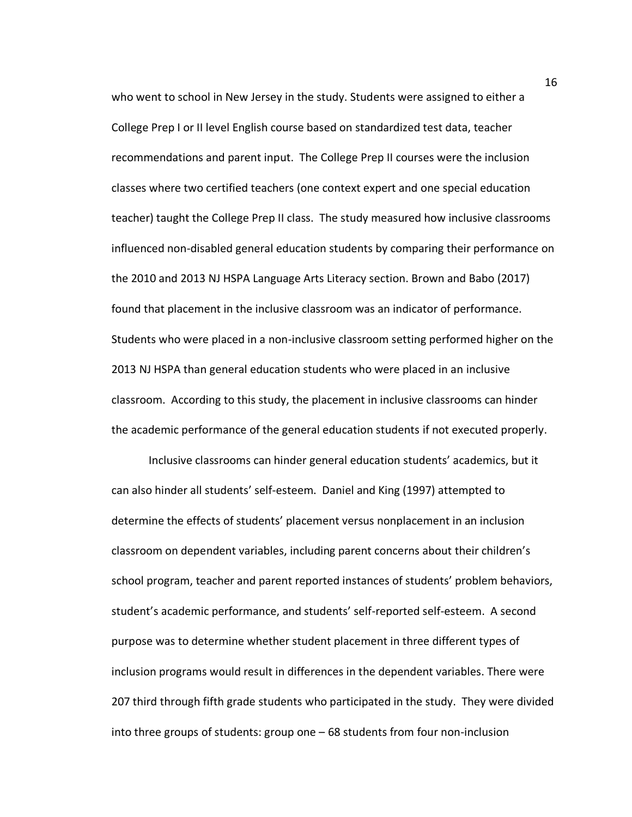who went to school in New Jersey in the study. Students were assigned to either a College Prep I or II level English course based on standardized test data, teacher recommendations and parent input. The College Prep II courses were the inclusion classes where two certified teachers (one context expert and one special education teacher) taught the College Prep II class. The study measured how inclusive classrooms influenced non-disabled general education students by comparing their performance on the 2010 and 2013 NJ HSPA Language Arts Literacy section. Brown and Babo (2017) found that placement in the inclusive classroom was an indicator of performance. Students who were placed in a non-inclusive classroom setting performed higher on the 2013 NJ HSPA than general education students who were placed in an inclusive classroom. According to this study, the placement in inclusive classrooms can hinder the academic performance of the general education students if not executed properly.

Inclusive classrooms can hinder general education students' academics, but it can also hinder all students' self-esteem. Daniel and King (1997) attempted to determine the effects of students' placement versus nonplacement in an inclusion classroom on dependent variables, including parent concerns about their children's school program, teacher and parent reported instances of students' problem behaviors, student's academic performance, and students' self-reported self-esteem. A second purpose was to determine whether student placement in three different types of inclusion programs would result in differences in the dependent variables. There were 207 third through fifth grade students who participated in the study. They were divided into three groups of students: group one – 68 students from four non-inclusion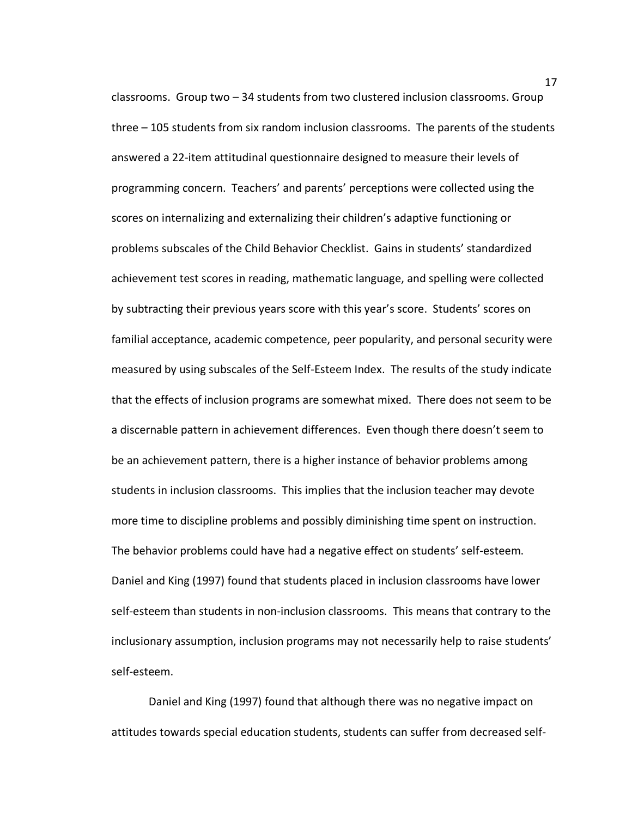classrooms. Group two – 34 students from two clustered inclusion classrooms. Group three – 105 students from six random inclusion classrooms. The parents of the students answered a 22-item attitudinal questionnaire designed to measure their levels of programming concern. Teachers' and parents' perceptions were collected using the scores on internalizing and externalizing their children's adaptive functioning or problems subscales of the Child Behavior Checklist. Gains in students' standardized achievement test scores in reading, mathematic language, and spelling were collected by subtracting their previous years score with this year's score. Students' scores on familial acceptance, academic competence, peer popularity, and personal security were measured by using subscales of the Self-Esteem Index. The results of the study indicate that the effects of inclusion programs are somewhat mixed. There does not seem to be a discernable pattern in achievement differences. Even though there doesn't seem to be an achievement pattern, there is a higher instance of behavior problems among students in inclusion classrooms. This implies that the inclusion teacher may devote more time to discipline problems and possibly diminishing time spent on instruction. The behavior problems could have had a negative effect on students' self-esteem. Daniel and King (1997) found that students placed in inclusion classrooms have lower self-esteem than students in non-inclusion classrooms. This means that contrary to the inclusionary assumption, inclusion programs may not necessarily help to raise students' self-esteem.

Daniel and King (1997) found that although there was no negative impact on attitudes towards special education students, students can suffer from decreased self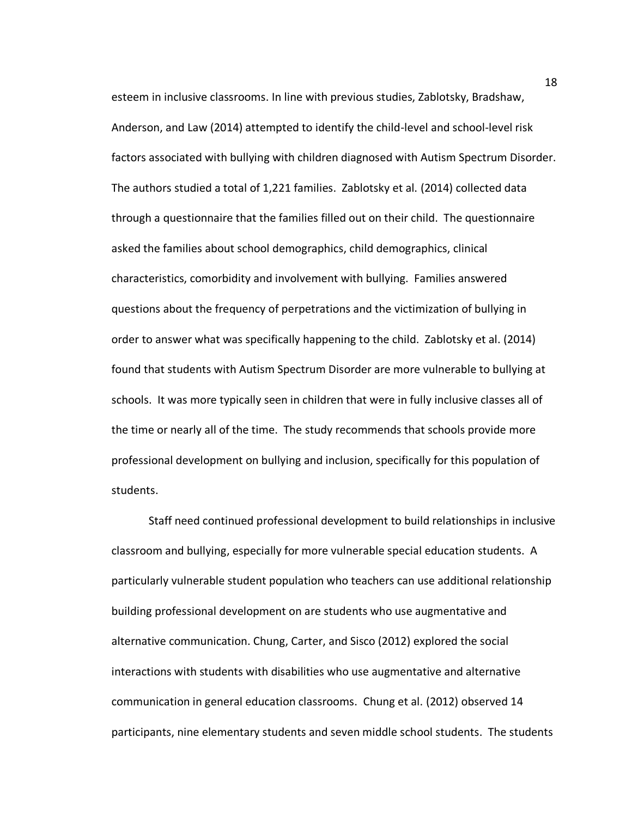esteem in inclusive classrooms. In line with previous studies, Zablotsky, Bradshaw, Anderson, and Law (2014) attempted to identify the child-level and school-level risk factors associated with bullying with children diagnosed with Autism Spectrum Disorder. The authors studied a total of 1,221 families. Zablotsky et al. (2014) collected data through a questionnaire that the families filled out on their child. The questionnaire asked the families about school demographics, child demographics, clinical characteristics, comorbidity and involvement with bullying. Families answered questions about the frequency of perpetrations and the victimization of bullying in order to answer what was specifically happening to the child. Zablotsky et al. (2014) found that students with Autism Spectrum Disorder are more vulnerable to bullying at schools. It was more typically seen in children that were in fully inclusive classes all of the time or nearly all of the time. The study recommends that schools provide more professional development on bullying and inclusion, specifically for this population of students.

Staff need continued professional development to build relationships in inclusive classroom and bullying, especially for more vulnerable special education students. A particularly vulnerable student population who teachers can use additional relationship building professional development on are students who use augmentative and alternative communication. Chung, Carter, and Sisco (2012) explored the social interactions with students with disabilities who use augmentative and alternative communication in general education classrooms. Chung et al. (2012) observed 14 participants, nine elementary students and seven middle school students. The students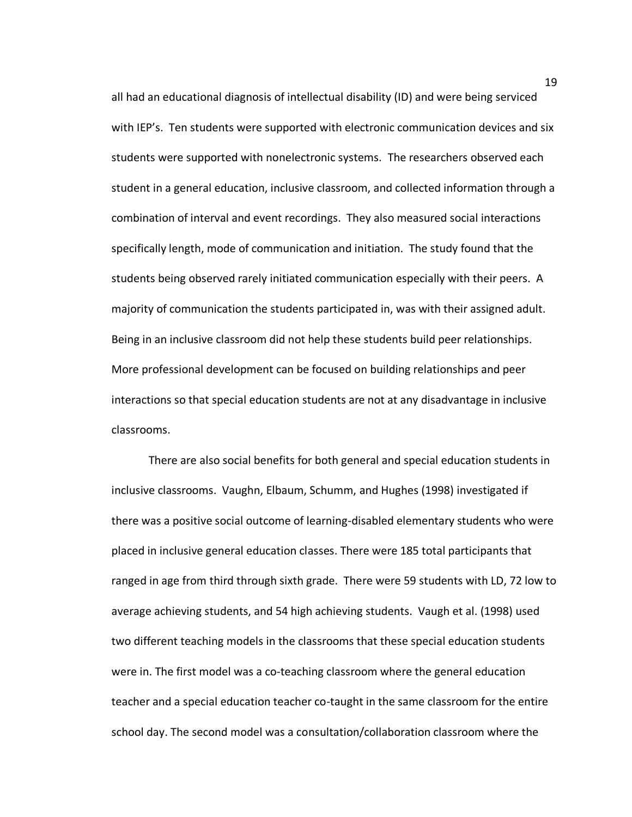all had an educational diagnosis of intellectual disability (ID) and were being serviced with IEP's. Ten students were supported with electronic communication devices and six students were supported with nonelectronic systems. The researchers observed each student in a general education, inclusive classroom, and collected information through a combination of interval and event recordings. They also measured social interactions specifically length, mode of communication and initiation. The study found that the students being observed rarely initiated communication especially with their peers. A majority of communication the students participated in, was with their assigned adult. Being in an inclusive classroom did not help these students build peer relationships. More professional development can be focused on building relationships and peer interactions so that special education students are not at any disadvantage in inclusive classrooms.

There are also social benefits for both general and special education students in inclusive classrooms. Vaughn, Elbaum, Schumm, and Hughes (1998) investigated if there was a positive social outcome of learning-disabled elementary students who were placed in inclusive general education classes. There were 185 total participants that ranged in age from third through sixth grade. There were 59 students with LD, 72 low to average achieving students, and 54 high achieving students. Vaugh et al. (1998) used two different teaching models in the classrooms that these special education students were in. The first model was a co-teaching classroom where the general education teacher and a special education teacher co-taught in the same classroom for the entire school day. The second model was a consultation/collaboration classroom where the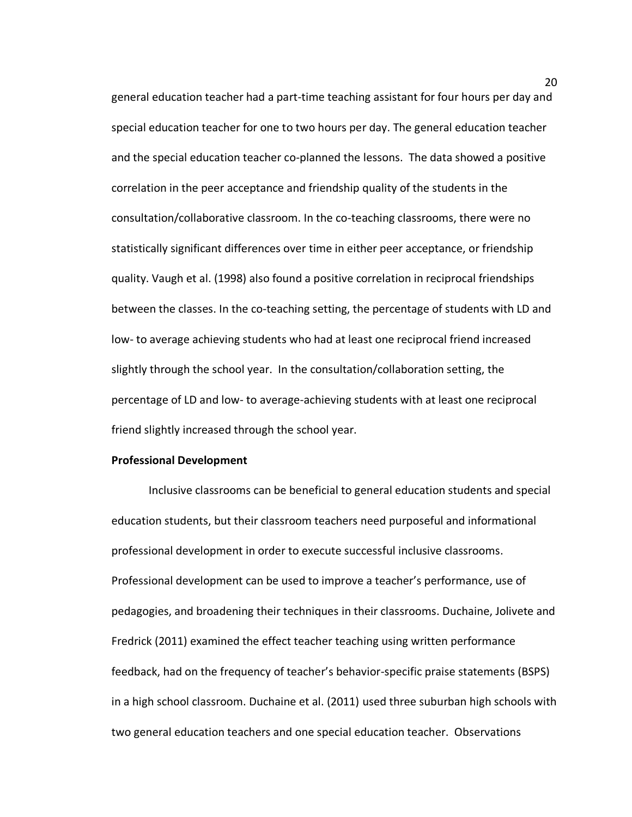general education teacher had a part-time teaching assistant for four hours per day and special education teacher for one to two hours per day. The general education teacher and the special education teacher co-planned the lessons. The data showed a positive correlation in the peer acceptance and friendship quality of the students in the consultation/collaborative classroom. In the co-teaching classrooms, there were no statistically significant differences over time in either peer acceptance, or friendship quality. Vaugh et al. (1998) also found a positive correlation in reciprocal friendships between the classes. In the co-teaching setting, the percentage of students with LD and low- to average achieving students who had at least one reciprocal friend increased slightly through the school year. In the consultation/collaboration setting, the percentage of LD and low- to average-achieving students with at least one reciprocal friend slightly increased through the school year.

## **Professional Development**

Inclusive classrooms can be beneficial to general education students and special education students, but their classroom teachers need purposeful and informational professional development in order to execute successful inclusive classrooms. Professional development can be used to improve a teacher's performance, use of pedagogies, and broadening their techniques in their classrooms. Duchaine, Jolivete and Fredrick (2011) examined the effect teacher teaching using written performance feedback, had on the frequency of teacher's behavior-specific praise statements (BSPS) in a high school classroom. Duchaine et al. (2011) used three suburban high schools with two general education teachers and one special education teacher. Observations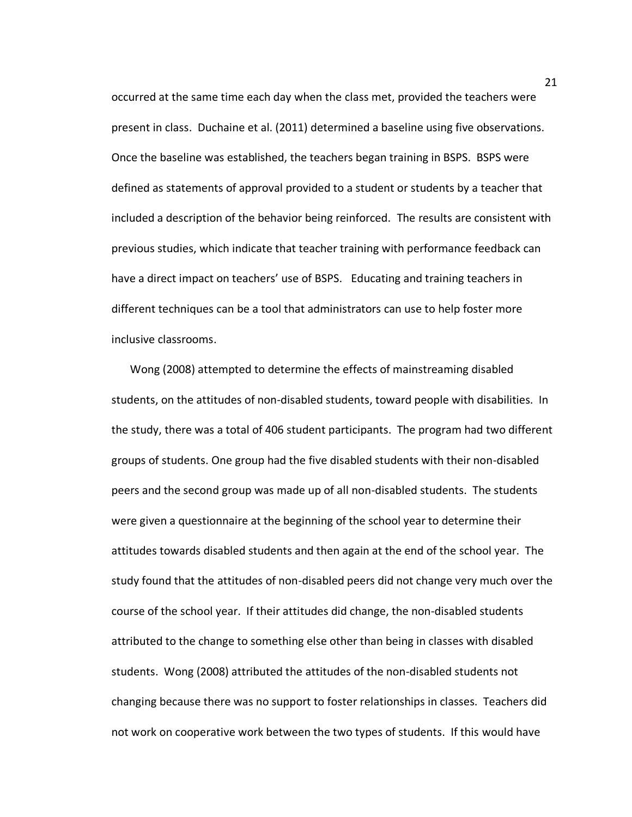occurred at the same time each day when the class met, provided the teachers were present in class. Duchaine et al. (2011) determined a baseline using five observations. Once the baseline was established, the teachers began training in BSPS. BSPS were defined as statements of approval provided to a student or students by a teacher that included a description of the behavior being reinforced. The results are consistent with previous studies, which indicate that teacher training with performance feedback can have a direct impact on teachers' use of BSPS. Educating and training teachers in different techniques can be a tool that administrators can use to help foster more inclusive classrooms.

Wong (2008) attempted to determine the effects of mainstreaming disabled students, on the attitudes of non-disabled students, toward people with disabilities. In the study, there was a total of 406 student participants. The program had two different groups of students. One group had the five disabled students with their non-disabled peers and the second group was made up of all non-disabled students. The students were given a questionnaire at the beginning of the school year to determine their attitudes towards disabled students and then again at the end of the school year. The study found that the attitudes of non-disabled peers did not change very much over the course of the school year. If their attitudes did change, the non-disabled students attributed to the change to something else other than being in classes with disabled students. Wong (2008) attributed the attitudes of the non-disabled students not changing because there was no support to foster relationships in classes. Teachers did not work on cooperative work between the two types of students. If this would have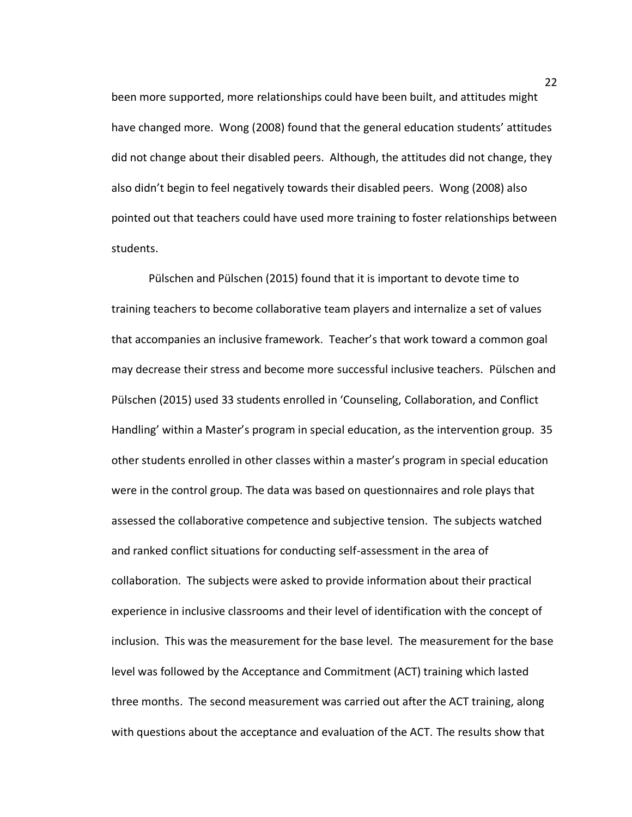been more supported, more relationships could have been built, and attitudes might have changed more. Wong (2008) found that the general education students' attitudes did not change about their disabled peers. Although, the attitudes did not change, they also didn't begin to feel negatively towards their disabled peers. Wong (2008) also pointed out that teachers could have used more training to foster relationships between students.

Pülschen and Pülschen (2015) found that it is important to devote time to training teachers to become collaborative team players and internalize a set of values that accompanies an inclusive framework. Teacher's that work toward a common goal may decrease their stress and become more successful inclusive teachers. Pülschen and Pülschen (2015) used 33 students enrolled in 'Counseling, Collaboration, and Conflict Handling' within a Master's program in special education, as the intervention group. 35 other students enrolled in other classes within a master's program in special education were in the control group. The data was based on questionnaires and role plays that assessed the collaborative competence and subjective tension. The subjects watched and ranked conflict situations for conducting self-assessment in the area of collaboration. The subjects were asked to provide information about their practical experience in inclusive classrooms and their level of identification with the concept of inclusion. This was the measurement for the base level. The measurement for the base level was followed by the Acceptance and Commitment (ACT) training which lasted three months. The second measurement was carried out after the ACT training, along with questions about the acceptance and evaluation of the ACT. The results show that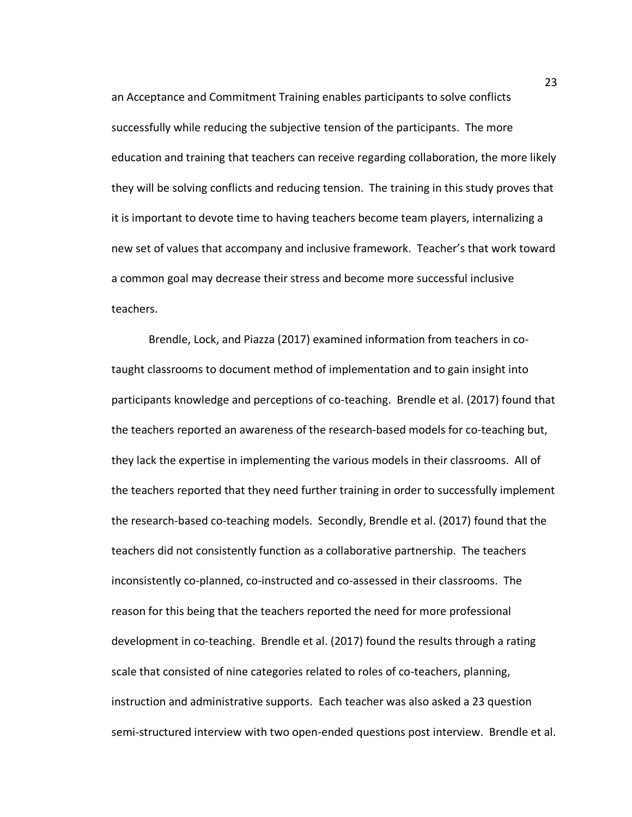an Acceptance and Commitment Training enables participants to solve conflicts successfully while reducing the subjective tension of the participants. The more education and training that teachers can receive regarding collaboration, the more likely they will be solving conflicts and reducing tension. The training in this study proves that it is important to devote time to having teachers become team players, internalizing a new set of values that accompany and inclusive framework. Teacher's that work toward a common goal may decrease their stress and become more successful inclusive teachers.

Brendle, Lock, and Piazza (2017) examined information from teachers in cotaught classrooms to document method of implementation and to gain insight into participants knowledge and perceptions of co-teaching. Brendle et al. (2017) found that the teachers reported an awareness of the research-based models for co-teaching but, they lack the expertise in implementing the various models in their classrooms. All of the teachers reported that they need further training in order to successfully implement the research-based co-teaching models. Secondly, Brendle et al. (2017) found that the teachers did not consistently function as a collaborative partnership. The teachers inconsistently co-planned, co-instructed and co-assessed in their classrooms. The reason for this being that the teachers reported the need for more professional development in co-teaching.Brendle et al. (2017) found the results through a rating scale that consisted of nine categories related to roles of co-teachers, planning, instruction and administrative supports. Each teacher was also asked a 23 question semi-structured interview with two open-ended questions post interview. Brendle et al.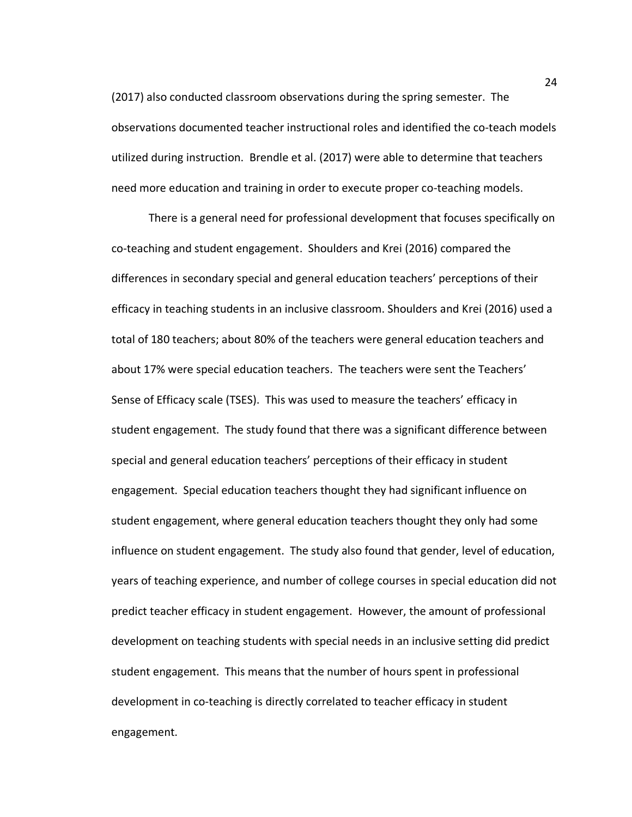(2017) also conducted classroom observations during the spring semester. The observations documented teacher instructional roles and identified the co-teach models utilized during instruction.Brendle et al. (2017) were able to determine that teachers need more education and training in order to execute proper co-teaching models.

There is a general need for professional development that focuses specifically on co-teaching and student engagement. Shoulders and Krei (2016) compared the differences in secondary special and general education teachers' perceptions of their efficacy in teaching students in an inclusive classroom. Shoulders and Krei (2016) used a total of 180 teachers; about 80% of the teachers were general education teachers and about 17% were special education teachers. The teachers were sent the Teachers' Sense of Efficacy scale (TSES). This was used to measure the teachers' efficacy in student engagement. The study found that there was a significant difference between special and general education teachers' perceptions of their efficacy in student engagement. Special education teachers thought they had significant influence on student engagement, where general education teachers thought they only had some influence on student engagement. The study also found that gender, level of education, years of teaching experience, and number of college courses in special education did not predict teacher efficacy in student engagement. However, the amount of professional development on teaching students with special needs in an inclusive setting did predict student engagement. This means that the number of hours spent in professional development in co-teaching is directly correlated to teacher efficacy in student engagement.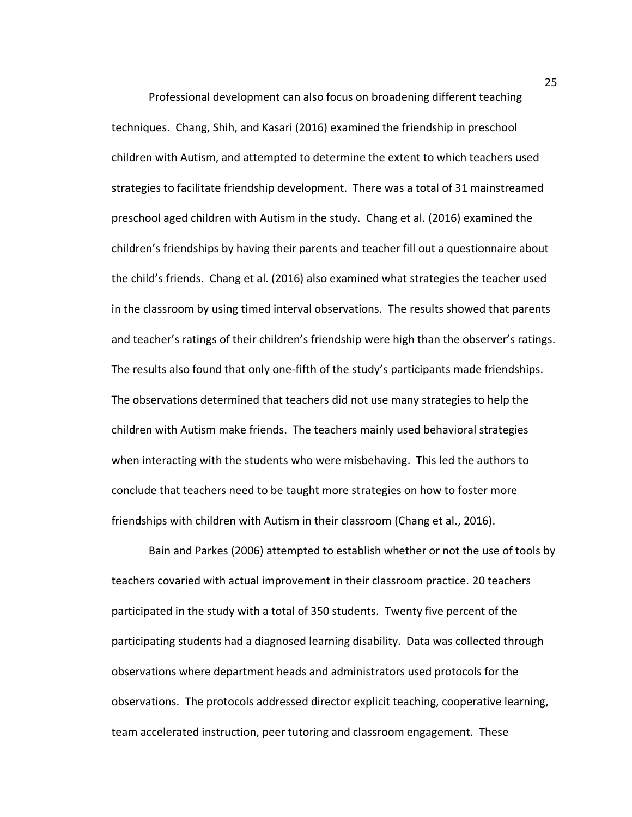Professional development can also focus on broadening different teaching techniques. Chang, Shih, and Kasari (2016) examined the friendship in preschool children with Autism, and attempted to determine the extent to which teachers used strategies to facilitate friendship development. There was a total of 31 mainstreamed preschool aged children with Autism in the study. Chang et al. (2016) examined the children's friendships by having their parents and teacher fill out a questionnaire about the child's friends. Chang et al. (2016) also examined what strategies the teacher used in the classroom by using timed interval observations. The results showed that parents and teacher's ratings of their children's friendship were high than the observer's ratings. The results also found that only one-fifth of the study's participants made friendships. The observations determined that teachers did not use many strategies to help the children with Autism make friends. The teachers mainly used behavioral strategies when interacting with the students who were misbehaving. This led the authors to conclude that teachers need to be taught more strategies on how to foster more friendships with children with Autism in their classroom (Chang et al., 2016).

Bain and Parkes (2006) attempted to establish whether or not the use of tools by teachers covaried with actual improvement in their classroom practice. 20 teachers participated in the study with a total of 350 students. Twenty five percent of the participating students had a diagnosed learning disability. Data was collected through observations where department heads and administrators used protocols for the observations. The protocols addressed director explicit teaching, cooperative learning, team accelerated instruction, peer tutoring and classroom engagement. These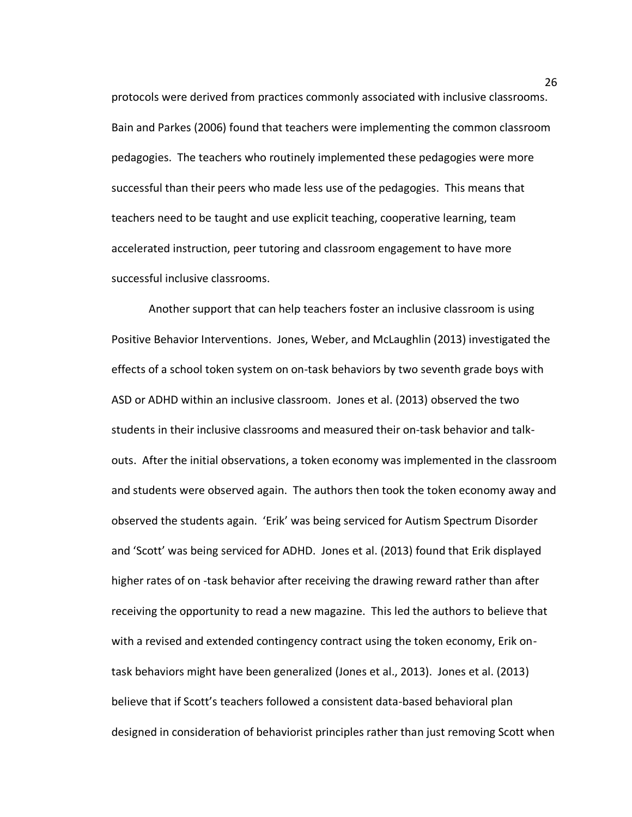protocols were derived from practices commonly associated with inclusive classrooms. Bain and Parkes (2006) found that teachers were implementing the common classroom pedagogies. The teachers who routinely implemented these pedagogies were more successful than their peers who made less use of the pedagogies. This means that teachers need to be taught and use explicit teaching, cooperative learning, team accelerated instruction, peer tutoring and classroom engagement to have more successful inclusive classrooms.

Another support that can help teachers foster an inclusive classroom is using Positive Behavior Interventions. Jones, Weber, and McLaughlin (2013) investigated the effects of a school token system on on-task behaviors by two seventh grade boys with ASD or ADHD within an inclusive classroom. Jones et al. (2013) observed the two students in their inclusive classrooms and measured their on-task behavior and talkouts. After the initial observations, a token economy was implemented in the classroom and students were observed again. The authors then took the token economy away and observed the students again. 'Erik' was being serviced for Autism Spectrum Disorder and 'Scott' was being serviced for ADHD. Jones et al. (2013) found that Erik displayed higher rates of on -task behavior after receiving the drawing reward rather than after receiving the opportunity to read a new magazine. This led the authors to believe that with a revised and extended contingency contract using the token economy, Erik ontask behaviors might have been generalized (Jones et al., 2013). Jones et al. (2013) believe that if Scott's teachers followed a consistent data-based behavioral plan designed in consideration of behaviorist principles rather than just removing Scott when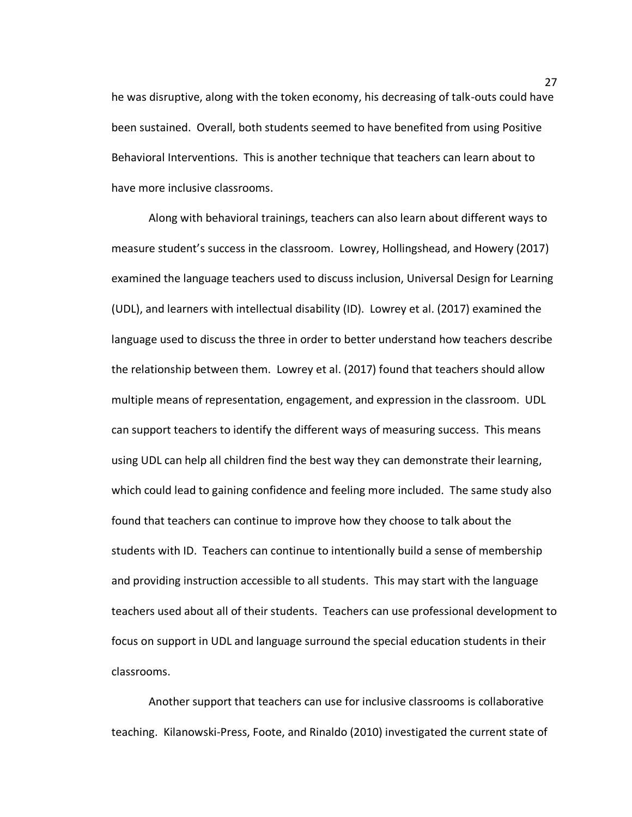he was disruptive, along with the token economy, his decreasing of talk-outs could have been sustained. Overall, both students seemed to have benefited from using Positive Behavioral Interventions. This is another technique that teachers can learn about to have more inclusive classrooms.

Along with behavioral trainings, teachers can also learn about different ways to measure student's success in the classroom. Lowrey, Hollingshead, and Howery (2017) examined the language teachers used to discuss inclusion, Universal Design for Learning (UDL), and learners with intellectual disability (ID). Lowrey et al. (2017) examined the language used to discuss the three in order to better understand how teachers describe the relationship between them. Lowrey et al. (2017) found that teachers should allow multiple means of representation, engagement, and expression in the classroom. UDL can support teachers to identify the different ways of measuring success. This means using UDL can help all children find the best way they can demonstrate their learning, which could lead to gaining confidence and feeling more included. The same study also found that teachers can continue to improve how they choose to talk about the students with ID. Teachers can continue to intentionally build a sense of membership and providing instruction accessible to all students. This may start with the language teachers used about all of their students. Teachers can use professional development to focus on support in UDL and language surround the special education students in their classrooms.

Another support that teachers can use for inclusive classrooms is collaborative teaching. Kilanowski-Press, Foote, and Rinaldo (2010) investigated the current state of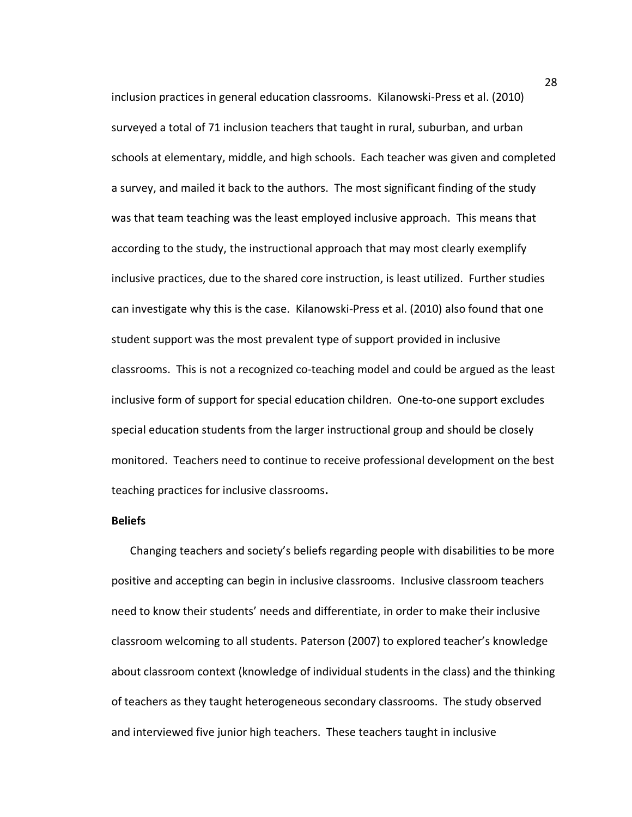inclusion practices in general education classrooms. Kilanowski-Press et al. (2010) surveyed a total of 71 inclusion teachers that taught in rural, suburban, and urban schools at elementary, middle, and high schools. Each teacher was given and completed a survey, and mailed it back to the authors. The most significant finding of the study was that team teaching was the least employed inclusive approach. This means that according to the study, the instructional approach that may most clearly exemplify inclusive practices, due to the shared core instruction, is least utilized. Further studies can investigate why this is the case. Kilanowski-Press et al. (2010) also found that one student support was the most prevalent type of support provided in inclusive classrooms. This is not a recognized co-teaching model and could be argued as the least inclusive form of support for special education children. One-to-one support excludes special education students from the larger instructional group and should be closely monitored. Teachers need to continue to receive professional development on the best teaching practices for inclusive classrooms**.**

#### **Beliefs**

Changing teachers and society's beliefs regarding people with disabilities to be more positive and accepting can begin in inclusive classrooms. Inclusive classroom teachers need to know their students' needs and differentiate, in order to make their inclusive classroom welcoming to all students. Paterson (2007) to explored teacher's knowledge about classroom context (knowledge of individual students in the class) and the thinking of teachers as they taught heterogeneous secondary classrooms. The study observed and interviewed five junior high teachers. These teachers taught in inclusive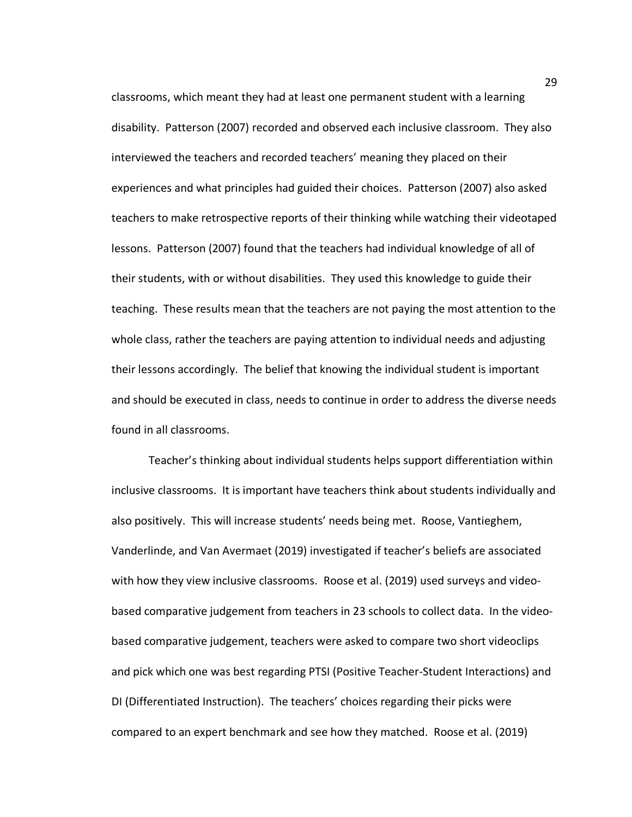classrooms, which meant they had at least one permanent student with a learning disability. Patterson (2007) recorded and observed each inclusive classroom. They also interviewed the teachers and recorded teachers' meaning they placed on their experiences and what principles had guided their choices. Patterson (2007) also asked teachers to make retrospective reports of their thinking while watching their videotaped lessons. Patterson (2007) found that the teachers had individual knowledge of all of their students, with or without disabilities. They used this knowledge to guide their teaching. These results mean that the teachers are not paying the most attention to the whole class, rather the teachers are paying attention to individual needs and adjusting their lessons accordingly. The belief that knowing the individual student is important and should be executed in class, needs to continue in order to address the diverse needs found in all classrooms.

Teacher's thinking about individual students helps support differentiation within inclusive classrooms. It is important have teachers think about students individually and also positively. This will increase students' needs being met. Roose, Vantieghem, Vanderlinde, and Van Avermaet (2019) investigated if teacher's beliefs are associated with how they view inclusive classrooms. Roose et al. (2019) used surveys and videobased comparative judgement from teachers in 23 schools to collect data. In the videobased comparative judgement, teachers were asked to compare two short videoclips and pick which one was best regarding PTSI (Positive Teacher-Student Interactions) and DI (Differentiated Instruction). The teachers' choices regarding their picks were compared to an expert benchmark and see how they matched. Roose et al. (2019)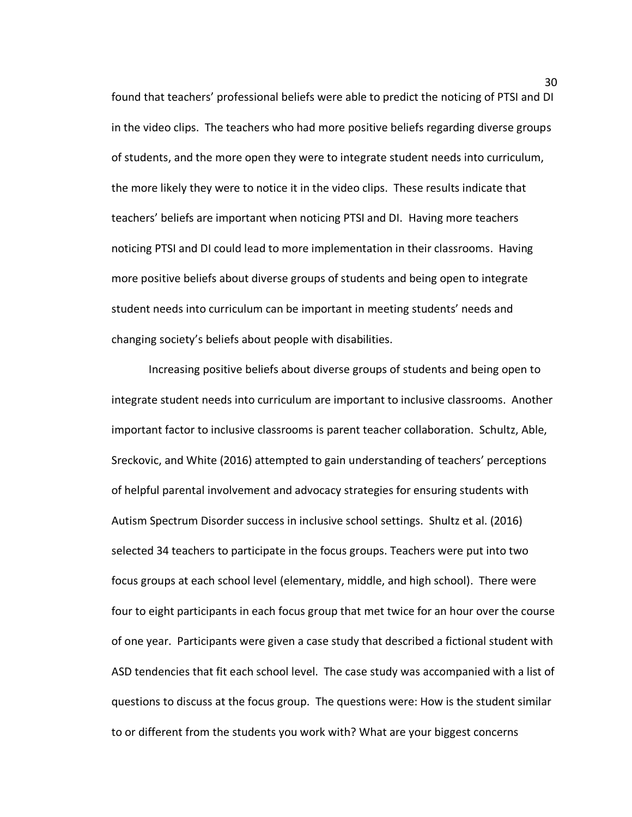found that teachers' professional beliefs were able to predict the noticing of PTSI and DI in the video clips. The teachers who had more positive beliefs regarding diverse groups of students, and the more open they were to integrate student needs into curriculum, the more likely they were to notice it in the video clips. These results indicate that teachers' beliefs are important when noticing PTSI and DI. Having more teachers noticing PTSI and DI could lead to more implementation in their classrooms. Having more positive beliefs about diverse groups of students and being open to integrate student needs into curriculum can be important in meeting students' needs and changing society's beliefs about people with disabilities.

Increasing positive beliefs about diverse groups of students and being open to integrate student needs into curriculum are important to inclusive classrooms. Another important factor to inclusive classrooms is parent teacher collaboration. Schultz, Able, Sreckovic, and White (2016) attempted to gain understanding of teachers' perceptions of helpful parental involvement and advocacy strategies for ensuring students with Autism Spectrum Disorder success in inclusive school settings. Shultz et al. (2016) selected 34 teachers to participate in the focus groups. Teachers were put into two focus groups at each school level (elementary, middle, and high school). There were four to eight participants in each focus group that met twice for an hour over the course of one year. Participants were given a case study that described a fictional student with ASD tendencies that fit each school level. The case study was accompanied with a list of questions to discuss at the focus group. The questions were: How is the student similar to or different from the students you work with? What are your biggest concerns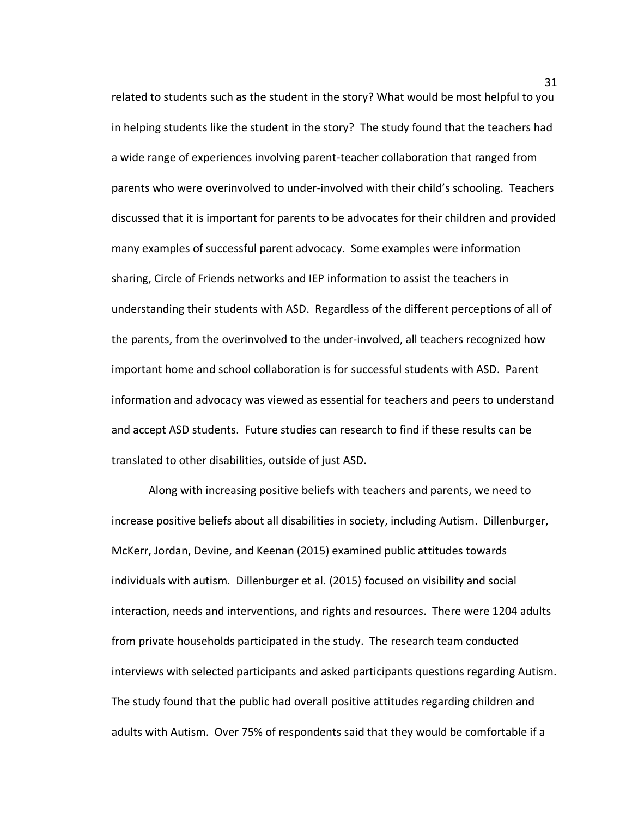related to students such as the student in the story? What would be most helpful to you in helping students like the student in the story? The study found that the teachers had a wide range of experiences involving parent-teacher collaboration that ranged from parents who were overinvolved to under-involved with their child's schooling. Teachers discussed that it is important for parents to be advocates for their children and provided many examples of successful parent advocacy. Some examples were information sharing, Circle of Friends networks and IEP information to assist the teachers in understanding their students with ASD. Regardless of the different perceptions of all of the parents, from the overinvolved to the under-involved, all teachers recognized how important home and school collaboration is for successful students with ASD. Parent information and advocacy was viewed as essential for teachers and peers to understand and accept ASD students. Future studies can research to find if these results can be translated to other disabilities, outside of just ASD.

Along with increasing positive beliefs with teachers and parents, we need to increase positive beliefs about all disabilities in society, including Autism. Dillenburger, McKerr, Jordan, Devine, and Keenan (2015) examined public attitudes towards individuals with autism. Dillenburger et al. (2015) focused on visibility and social interaction, needs and interventions, and rights and resources. There were 1204 adults from private households participated in the study. The research team conducted interviews with selected participants and asked participants questions regarding Autism. The study found that the public had overall positive attitudes regarding children and adults with Autism. Over 75% of respondents said that they would be comfortable if a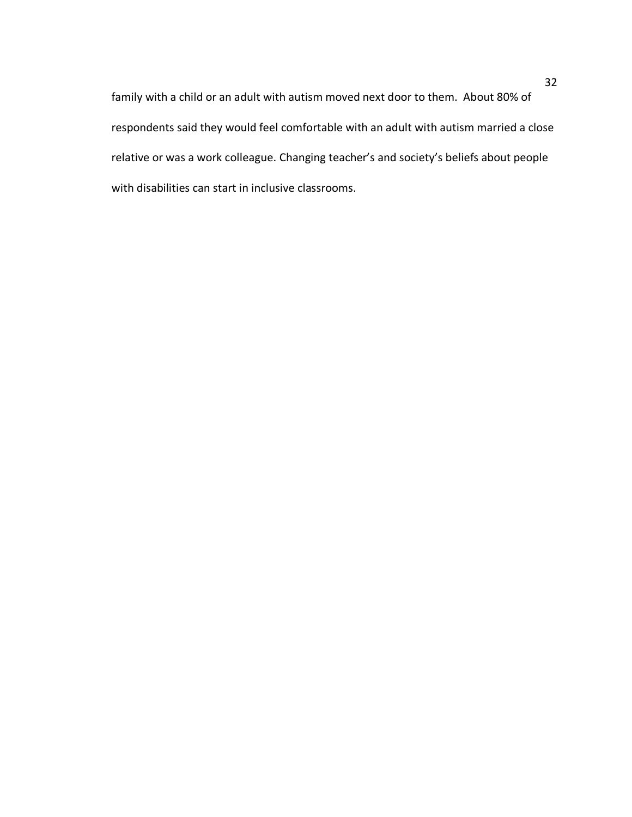family with a child or an adult with autism moved next door to them. About 80% of respondents said they would feel comfortable with an adult with autism married a close relative or was a work colleague. Changing teacher's and society's beliefs about people with disabilities can start in inclusive classrooms.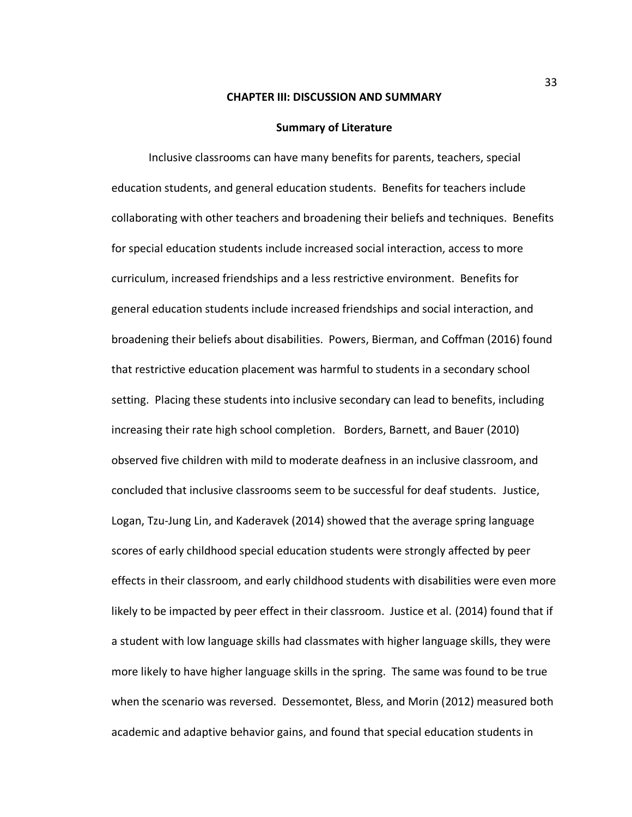#### **CHAPTER III: DISCUSSION AND SUMMARY**

#### **Summary of Literature**

Inclusive classrooms can have many benefits for parents, teachers, special education students, and general education students. Benefits for teachers include collaborating with other teachers and broadening their beliefs and techniques. Benefits for special education students include increased social interaction, access to more curriculum, increased friendships and a less restrictive environment. Benefits for general education students include increased friendships and social interaction, and broadening their beliefs about disabilities. Powers, Bierman, and Coffman (2016) found that restrictive education placement was harmful to students in a secondary school setting. Placing these students into inclusive secondary can lead to benefits, including increasing their rate high school completion. Borders, Barnett, and Bauer (2010) observed five children with mild to moderate deafness in an inclusive classroom, and concluded that inclusive classrooms seem to be successful for deaf students.Justice, Logan, Tzu-Jung Lin, and Kaderavek (2014) showed that the average spring language scores of early childhood special education students were strongly affected by peer effects in their classroom, and early childhood students with disabilities were even more likely to be impacted by peer effect in their classroom. Justice et al. (2014) found that if a student with low language skills had classmates with higher language skills, they were more likely to have higher language skills in the spring. The same was found to be true when the scenario was reversed. Dessemontet, Bless, and Morin (2012) measured both academic and adaptive behavior gains, and found that special education students in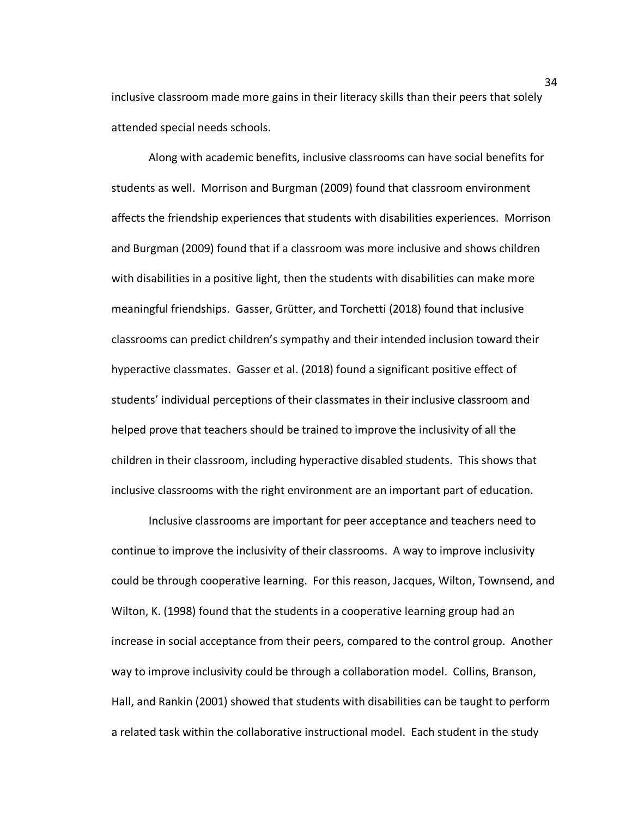inclusive classroom made more gains in their literacy skills than their peers that solely attended special needs schools.

Along with academic benefits, inclusive classrooms can have social benefits for students as well. Morrison and Burgman (2009) found that classroom environment affects the friendship experiences that students with disabilities experiences. Morrison and Burgman (2009) found that if a classroom was more inclusive and shows children with disabilities in a positive light, then the students with disabilities can make more meaningful friendships. Gasser, Grütter, and Torchetti (2018) found that inclusive classrooms can predict children's sympathy and their intended inclusion toward their hyperactive classmates. Gasser et al. (2018) found a significant positive effect of students' individual perceptions of their classmates in their inclusive classroom and helped prove that teachers should be trained to improve the inclusivity of all the children in their classroom, including hyperactive disabled students.This shows that inclusive classrooms with the right environment are an important part of education.

Inclusive classrooms are important for peer acceptance and teachers need to continue to improve the inclusivity of their classrooms. A way to improve inclusivity could be through cooperative learning. For this reason, Jacques, Wilton, Townsend, and Wilton, K. (1998) found that the students in a cooperative learning group had an increase in social acceptance from their peers, compared to the control group. Another way to improve inclusivity could be through a collaboration model. Collins, Branson, Hall, and Rankin (2001) showed that students with disabilities can be taught to perform a related task within the collaborative instructional model. Each student in the study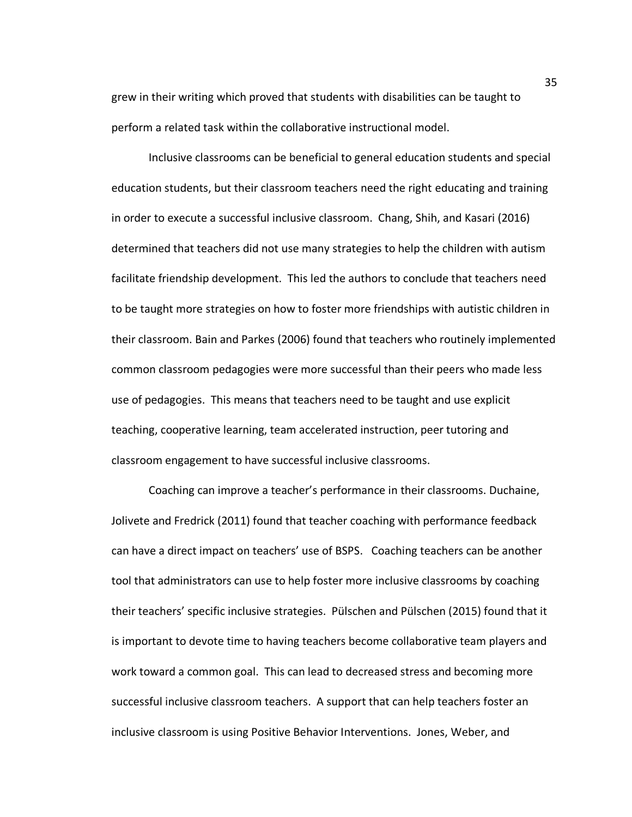grew in their writing which proved that students with disabilities can be taught to perform a related task within the collaborative instructional model.

Inclusive classrooms can be beneficial to general education students and special education students, but their classroom teachers need the right educating and training in order to execute a successful inclusive classroom. Chang, Shih, and Kasari (2016) determined that teachers did not use many strategies to help the children with autism facilitate friendship development. This led the authors to conclude that teachers need to be taught more strategies on how to foster more friendships with autistic children in their classroom. Bain and Parkes (2006) found that teachers who routinely implemented common classroom pedagogies were more successful than their peers who made less use of pedagogies. This means that teachers need to be taught and use explicit teaching, cooperative learning, team accelerated instruction, peer tutoring and classroom engagement to have successful inclusive classrooms.

Coaching can improve a teacher's performance in their classrooms. Duchaine, Jolivete and Fredrick (2011) found that teacher coaching with performance feedback can have a direct impact on teachers' use of BSPS. Coaching teachers can be another tool that administrators can use to help foster more inclusive classrooms by coaching their teachers' specific inclusive strategies. Pülschen and Pülschen (2015) found that it is important to devote time to having teachers become collaborative team players and work toward a common goal. This can lead to decreased stress and becoming more successful inclusive classroom teachers. A support that can help teachers foster an inclusive classroom is using Positive Behavior Interventions. Jones, Weber, and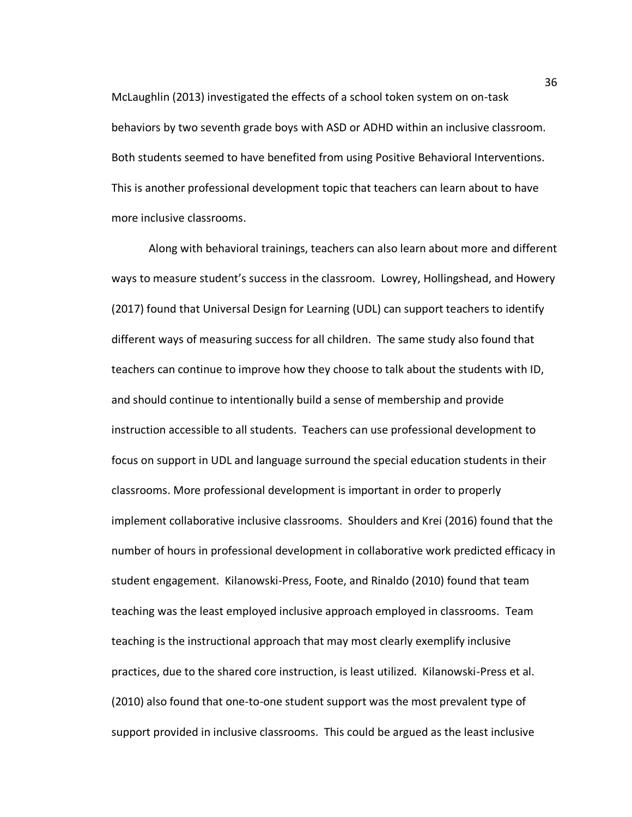McLaughlin (2013) investigated the effects of a school token system on on-task behaviors by two seventh grade boys with ASD or ADHD within an inclusive classroom. Both students seemed to have benefited from using Positive Behavioral Interventions. This is another professional development topic that teachers can learn about to have more inclusive classrooms.

Along with behavioral trainings, teachers can also learn about more and different ways to measure student's success in the classroom. Lowrey, Hollingshead, and Howery (2017) found that Universal Design for Learning (UDL) can support teachers to identify different ways of measuring success for all children. The same study also found that teachers can continue to improve how they choose to talk about the students with ID, and should continue to intentionally build a sense of membership and provide instruction accessible to all students. Teachers can use professional development to focus on support in UDL and language surround the special education students in their classrooms. More professional development is important in order to properly implement collaborative inclusive classrooms. Shoulders and Krei (2016) found that the number of hours in professional development in collaborative work predicted efficacy in student engagement. Kilanowski-Press, Foote, and Rinaldo (2010) found that team teaching was the least employed inclusive approach employed in classrooms. Team teaching is the instructional approach that may most clearly exemplify inclusive practices, due to the shared core instruction, is least utilized. Kilanowski-Press et al. (2010) also found that one-to-one student support was the most prevalent type of support provided in inclusive classrooms. This could be argued as the least inclusive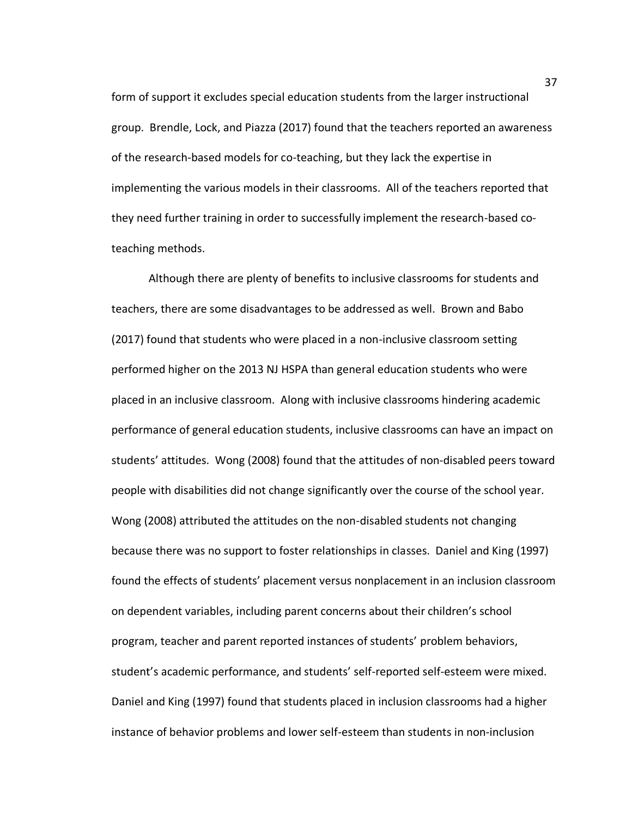form of support it excludes special education students from the larger instructional group.Brendle, Lock, and Piazza (2017) found that the teachers reported an awareness of the research-based models for co-teaching, but they lack the expertise in implementing the various models in their classrooms. All of the teachers reported that they need further training in order to successfully implement the research-based coteaching methods.

Although there are plenty of benefits to inclusive classrooms for students and teachers, there are some disadvantages to be addressed as well. Brown and Babo (2017) found that students who were placed in a non-inclusive classroom setting performed higher on the 2013 NJ HSPA than general education students who were placed in an inclusive classroom. Along with inclusive classrooms hindering academic performance of general education students, inclusive classrooms can have an impact on students' attitudes. Wong (2008) found that the attitudes of non-disabled peers toward people with disabilities did not change significantly over the course of the school year. Wong (2008) attributed the attitudes on the non-disabled students not changing because there was no support to foster relationships in classes. Daniel and King (1997) found the effects of students' placement versus nonplacement in an inclusion classroom on dependent variables, including parent concerns about their children's school program, teacher and parent reported instances of students' problem behaviors, student's academic performance, and students' self-reported self-esteem were mixed. Daniel and King (1997) found that students placed in inclusion classrooms had a higher instance of behavior problems and lower self-esteem than students in non-inclusion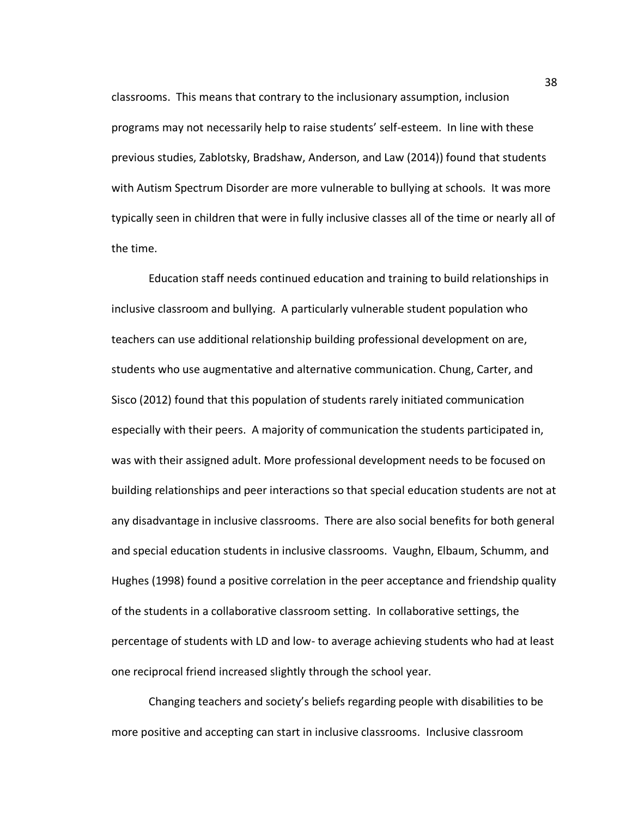classrooms. This means that contrary to the inclusionary assumption, inclusion programs may not necessarily help to raise students' self-esteem. In line with these previous studies, Zablotsky, Bradshaw, Anderson, and Law (2014)) found that students with Autism Spectrum Disorder are more vulnerable to bullying at schools. It was more typically seen in children that were in fully inclusive classes all of the time or nearly all of the time.

Education staff needs continued education and training to build relationships in inclusive classroom and bullying. A particularly vulnerable student population who teachers can use additional relationship building professional development on are, students who use augmentative and alternative communication. Chung, Carter, and Sisco (2012) found that this population of students rarely initiated communication especially with their peers. A majority of communication the students participated in, was with their assigned adult. More professional development needs to be focused on building relationships and peer interactions so that special education students are not at any disadvantage in inclusive classrooms. There are also social benefits for both general and special education students in inclusive classrooms. Vaughn, Elbaum, Schumm, and Hughes (1998) found a positive correlation in the peer acceptance and friendship quality of the students in a collaborative classroom setting. In collaborative settings, the percentage of students with LD and low- to average achieving students who had at least one reciprocal friend increased slightly through the school year.

Changing teachers and society's beliefs regarding people with disabilities to be more positive and accepting can start in inclusive classrooms. Inclusive classroom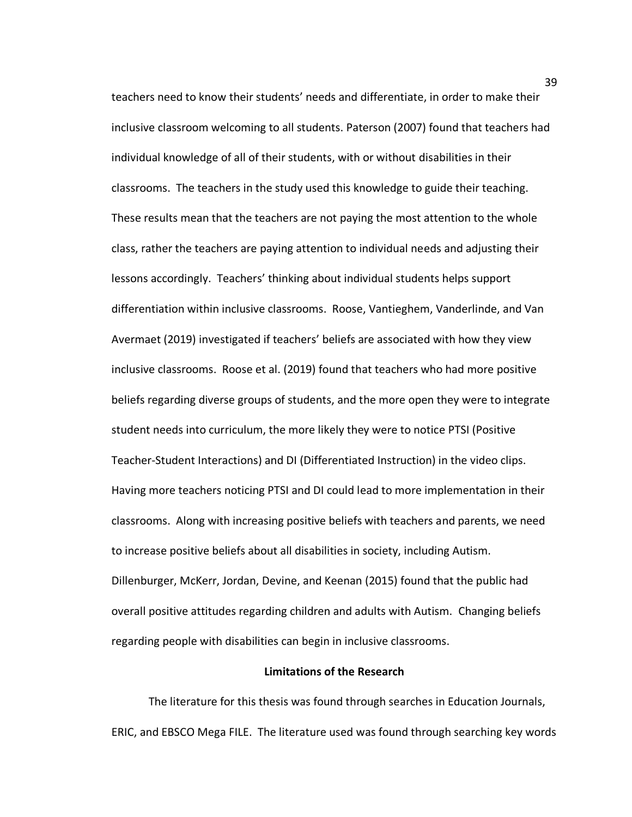teachers need to know their students' needs and differentiate, in order to make their inclusive classroom welcoming to all students. Paterson (2007) found that teachers had individual knowledge of all of their students, with or without disabilities in their classrooms. The teachers in the study used this knowledge to guide their teaching. These results mean that the teachers are not paying the most attention to the whole class, rather the teachers are paying attention to individual needs and adjusting their lessons accordingly. Teachers' thinking about individual students helps support differentiation within inclusive classrooms. Roose, Vantieghem, Vanderlinde, and Van Avermaet (2019) investigated if teachers' beliefs are associated with how they view inclusive classrooms. Roose et al. (2019) found that teachers who had more positive beliefs regarding diverse groups of students, and the more open they were to integrate student needs into curriculum, the more likely they were to notice PTSI (Positive Teacher-Student Interactions) and DI (Differentiated Instruction) in the video clips. Having more teachers noticing PTSI and DI could lead to more implementation in their classrooms. Along with increasing positive beliefs with teachers and parents, we need to increase positive beliefs about all disabilities in society, including Autism. Dillenburger, McKerr, Jordan, Devine, and Keenan (2015) found that the public had overall positive attitudes regarding children and adults with Autism. Changing beliefs regarding people with disabilities can begin in inclusive classrooms.

## **Limitations of the Research**

The literature for this thesis was found through searches in Education Journals, ERIC, and EBSCO Mega FILE. The literature used was found through searching key words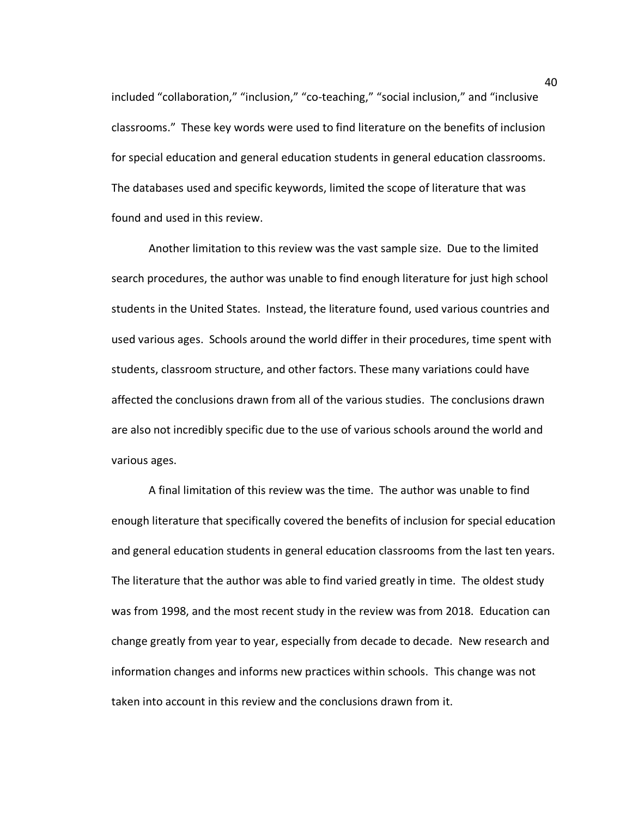included "collaboration," "inclusion," "co-teaching," "social inclusion," and "inclusive classrooms." These key words were used to find literature on the benefits of inclusion for special education and general education students in general education classrooms. The databases used and specific keywords, limited the scope of literature that was found and used in this review.

Another limitation to this review was the vast sample size. Due to the limited search procedures, the author was unable to find enough literature for just high school students in the United States. Instead, the literature found, used various countries and used various ages. Schools around the world differ in their procedures, time spent with students, classroom structure, and other factors. These many variations could have affected the conclusions drawn from all of the various studies. The conclusions drawn are also not incredibly specific due to the use of various schools around the world and various ages.

A final limitation of this review was the time. The author was unable to find enough literature that specifically covered the benefits of inclusion for special education and general education students in general education classrooms from the last ten years. The literature that the author was able to find varied greatly in time. The oldest study was from 1998, and the most recent study in the review was from 2018. Education can change greatly from year to year, especially from decade to decade. New research and information changes and informs new practices within schools. This change was not taken into account in this review and the conclusions drawn from it.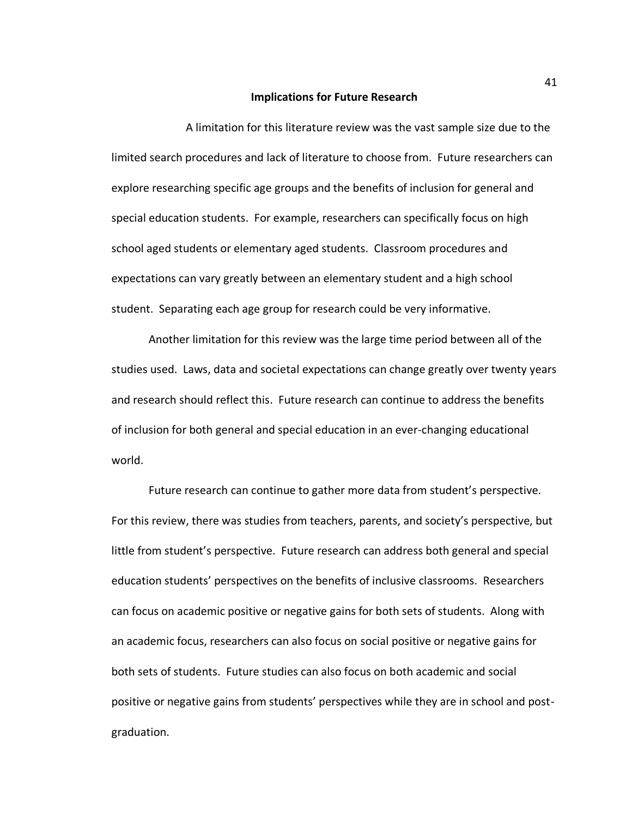#### **Implications for Future Research**

A limitation for this literature review was the vast sample size due to the limited search procedures and lack of literature to choose from. Future researchers can explore researching specific age groups and the benefits of inclusion for general and special education students. For example, researchers can specifically focus on high school aged students or elementary aged students. Classroom procedures and expectations can vary greatly between an elementary student and a high school student. Separating each age group for research could be very informative.

Another limitation for this review was the large time period between all of the studies used. Laws, data and societal expectations can change greatly over twenty years and research should reflect this. Future research can continue to address the benefits of inclusion for both general and special education in an ever-changing educational world.

Future research can continue to gather more data from student's perspective. For this review, there was studies from teachers, parents, and society's perspective, but little from student's perspective. Future research can address both general and special education students' perspectives on the benefits of inclusive classrooms. Researchers can focus on academic positive or negative gains for both sets of students. Along with an academic focus, researchers can also focus on social positive or negative gains for both sets of students. Future studies can also focus on both academic and social positive or negative gains from students' perspectives while they are in school and postgraduation.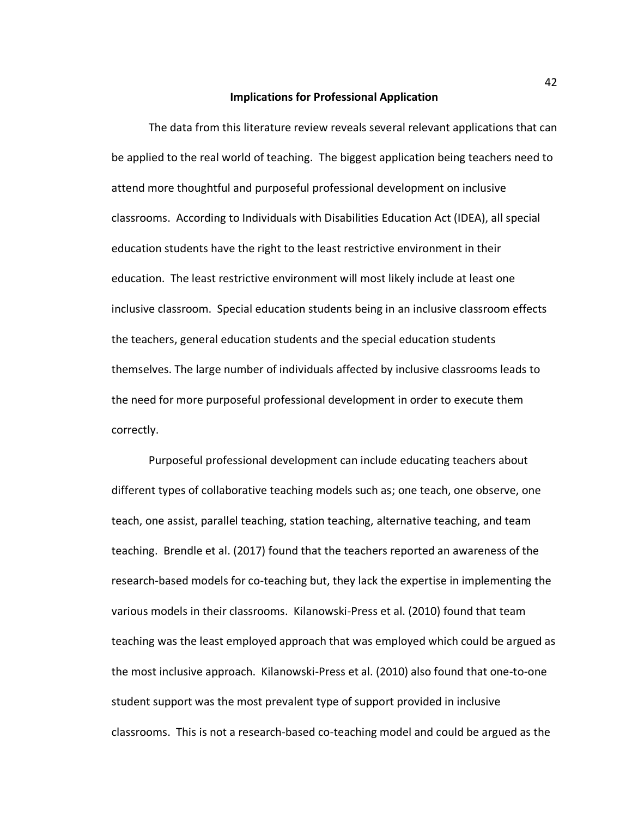#### **Implications for Professional Application**

The data from this literature review reveals several relevant applications that can be applied to the real world of teaching. The biggest application being teachers need to attend more thoughtful and purposeful professional development on inclusive classrooms. According to Individuals with Disabilities Education Act (IDEA), all special education students have the right to the least restrictive environment in their education. The least restrictive environment will most likely include at least one inclusive classroom. Special education students being in an inclusive classroom effects the teachers, general education students and the special education students themselves. The large number of individuals affected by inclusive classrooms leads to the need for more purposeful professional development in order to execute them correctly.

Purposeful professional development can include educating teachers about different types of collaborative teaching models such as; one teach, one observe, one teach, one assist, parallel teaching, station teaching, alternative teaching, and team teaching. Brendle et al. (2017) found that the teachers reported an awareness of the research-based models for co-teaching but, they lack the expertise in implementing the various models in their classrooms. Kilanowski-Press et al. (2010) found that team teaching was the least employed approach that was employed which could be argued as the most inclusive approach. Kilanowski-Press et al. (2010) also found that one-to-one student support was the most prevalent type of support provided in inclusive classrooms. This is not a research-based co-teaching model and could be argued as the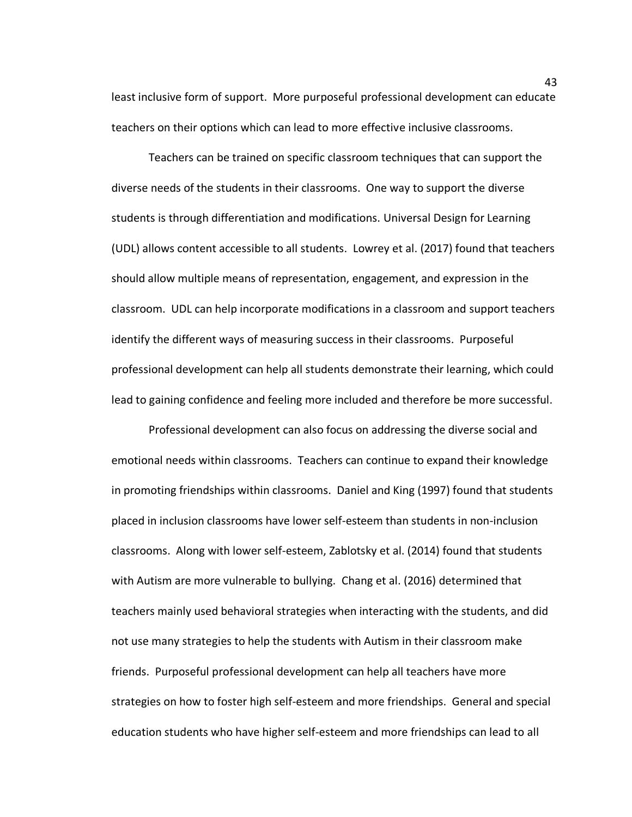least inclusive form of support. More purposeful professional development can educate teachers on their options which can lead to more effective inclusive classrooms.

Teachers can be trained on specific classroom techniques that can support the diverse needs of the students in their classrooms. One way to support the diverse students is through differentiation and modifications. Universal Design for Learning (UDL) allows content accessible to all students. Lowrey et al. (2017) found that teachers should allow multiple means of representation, engagement, and expression in the classroom. UDL can help incorporate modifications in a classroom and support teachers identify the different ways of measuring success in their classrooms. Purposeful professional development can help all students demonstrate their learning, which could lead to gaining confidence and feeling more included and therefore be more successful.

Professional development can also focus on addressing the diverse social and emotional needs within classrooms. Teachers can continue to expand their knowledge in promoting friendships within classrooms. Daniel and King (1997) found that students placed in inclusion classrooms have lower self-esteem than students in non-inclusion classrooms. Along with lower self-esteem, Zablotsky et al. (2014) found that students with Autism are more vulnerable to bullying. Chang et al. (2016) determined that teachers mainly used behavioral strategies when interacting with the students, and did not use many strategies to help the students with Autism in their classroom make friends. Purposeful professional development can help all teachers have more strategies on how to foster high self-esteem and more friendships. General and special education students who have higher self-esteem and more friendships can lead to all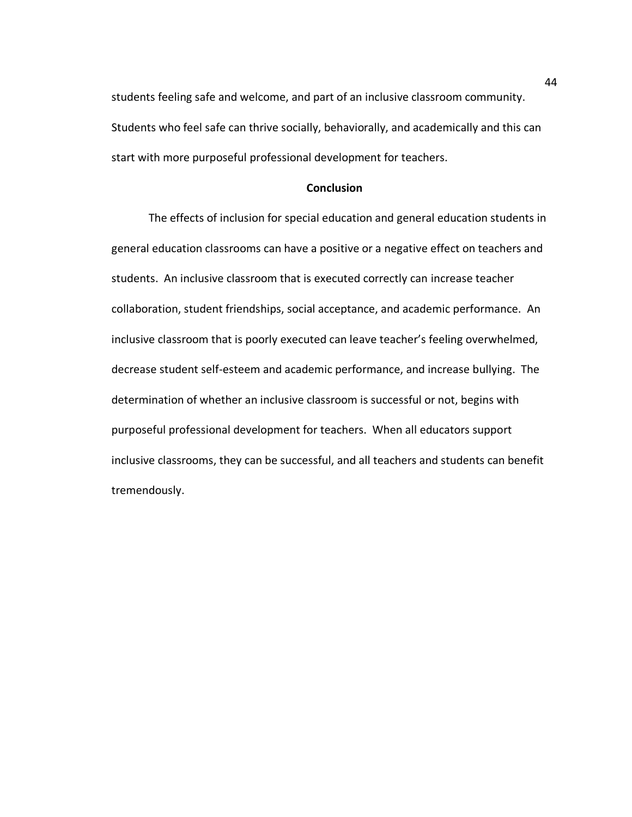students feeling safe and welcome, and part of an inclusive classroom community. Students who feel safe can thrive socially, behaviorally, and academically and this can start with more purposeful professional development for teachers.

## **Conclusion**

The effects of inclusion for special education and general education students in general education classrooms can have a positive or a negative effect on teachers and students. An inclusive classroom that is executed correctly can increase teacher collaboration, student friendships, social acceptance, and academic performance. An inclusive classroom that is poorly executed can leave teacher's feeling overwhelmed, decrease student self-esteem and academic performance, and increase bullying. The determination of whether an inclusive classroom is successful or not, begins with purposeful professional development for teachers. When all educators support inclusive classrooms, they can be successful, and all teachers and students can benefit tremendously.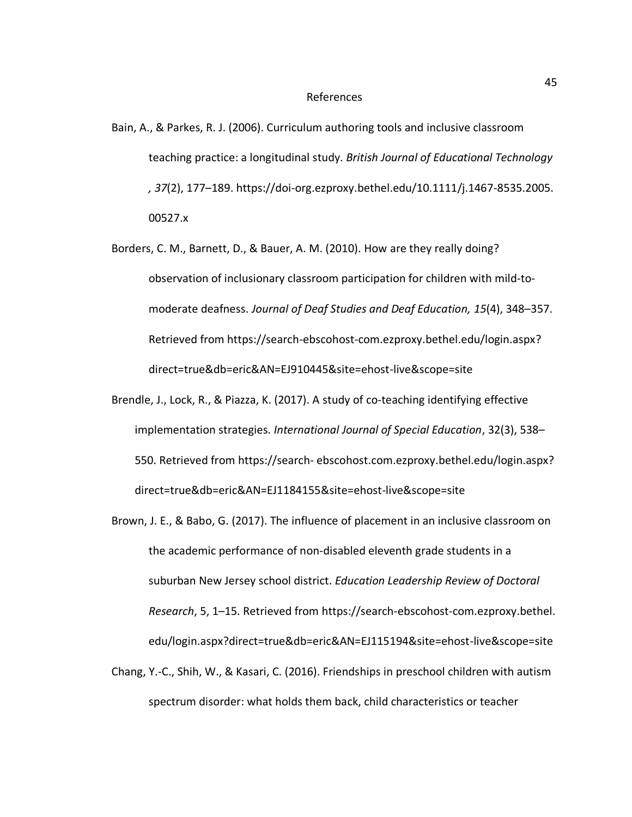#### References

- Bain, A., & Parkes, R. J. (2006). Curriculum authoring tools and inclusive classroom teaching practice: a longitudinal study. *British Journal of Educational Technology , 37*(2), 177–189. https://doi-org.ezproxy.bethel.edu/10.1111/j.1467-8535.2005. 00527.x
- Borders, C. M., Barnett, D., & Bauer, A. M. (2010). How are they really doing? observation of inclusionary classroom participation for children with mild-tomoderate deafness. *Journal of Deaf Studies and Deaf Education, 15*(4), 348–357. Retrieved from https://search-ebscohost-com.ezproxy.bethel.edu/login.aspx? direct=true&db=eric&AN=EJ910445&site=ehost-live&scope=site
- Brendle, J., Lock, R., & Piazza, K. (2017). A study of co-teaching identifying effective implementation strategies. *International Journal of Special Education*, 32(3), 538– 550. Retrieved from https://search- ebscohost.com.ezproxy.bethel.edu/login.aspx? direct=true&db=eric&AN=EJ1184155&site=ehost-live&scope=site
- Brown, J. E., & Babo, G. (2017). The influence of placement in an inclusive classroom on the academic performance of non-disabled eleventh grade students in a suburban New Jersey school district. *Education Leadership Review of Doctoral Research*, 5, 1–15. Retrieved from https://search-ebscohost-com.ezproxy.bethel. edu/login.aspx?direct=true&db=eric&AN=EJ115194&site=ehost-live&scope=site
- Chang, Y.-C., Shih, W., & Kasari, C. (2016). Friendships in preschool children with autism spectrum disorder: what holds them back, child characteristics or teacher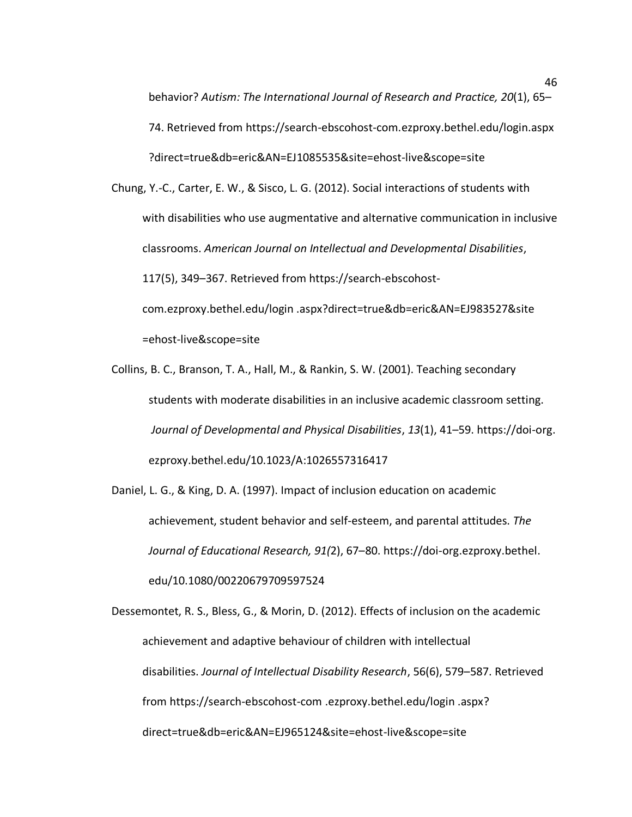behavior? *Autism: The International Journal of Research and Practice, 20*(1), 65– 74. Retrieved from https://search-ebscohost-com.ezproxy.bethel.edu/login.aspx ?direct=true&db=eric&AN=EJ1085535&site=ehost-live&scope=site

Chung, Y.-C., Carter, E. W., & Sisco, L. G. (2012). Social interactions of students with with disabilities who use augmentative and alternative communication in inclusive classrooms. *American Journal on Intellectual and Developmental Disabilities*, 117(5), 349–367. Retrieved from https://search-ebscohostcom.ezproxy.bethel.edu/login .aspx?direct=true&db=eric&AN=EJ983527&site =ehost-live&scope=site

Collins, B. C., Branson, T. A., Hall, M., & Rankin, S. W. (2001). Teaching secondary students with moderate disabilities in an inclusive academic classroom setting. *Journal of Developmental and Physical Disabilities*, *13*(1), 41–59. https://doi-org. ezproxy.bethel.edu/10.1023/A:1026557316417

Daniel, L. G., & King, D. A. (1997). Impact of inclusion education on academic achievement, student behavior and self-esteem, and parental attitudes. *The Journal of Educational Research, 91(*2), 67–80. https://doi-org.ezproxy.bethel. edu/10.1080/00220679709597524

Dessemontet, R. S., Bless, G., & Morin, D. (2012). Effects of inclusion on the academic achievement and adaptive behaviour of children with intellectual disabilities. *Journal of Intellectual Disability Research*, 56(6), 579–587. Retrieved from https://search-ebscohost-com .ezproxy.bethel.edu/login .aspx? direct=true&db=eric&AN=EJ965124&site=ehost-live&scope=site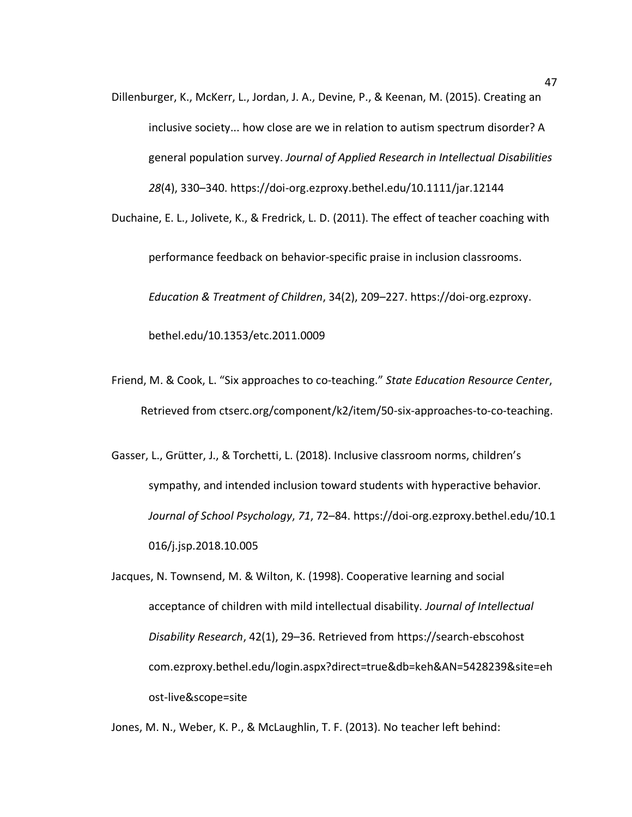Dillenburger, K., McKerr, L., Jordan, J. A., Devine, P., & Keenan, M. (2015). Creating an inclusive society... how close are we in relation to autism spectrum disorder? A general population survey. *Journal of Applied Research in Intellectual Disabilities 28*(4), 330–340. https://doi-org.ezproxy.bethel.edu/10.1111/jar.12144

Duchaine, E. L., Jolivete, K., & Fredrick, L. D. (2011). The effect of teacher coaching with

performance feedback on behavior-specific praise in inclusion classrooms. *Education & Treatment of Children*, 34(2), 209–227. https://doi-org.ezproxy. bethel.edu/10.1353/etc.2011.0009

Friend, M. & Cook, L. "Six approaches to co-teaching." *State Education Resource Center*,

Retrieved from ctserc.org/component/k2/item/50-six-approaches-to-co-teaching.

Gasser, L., Grütter, J., & Torchetti, L. (2018). Inclusive classroom norms, children's sympathy, and intended inclusion toward students with hyperactive behavior. *Journal of School Psychology*, *71*, 72–84. https://doi-org.ezproxy.bethel.edu/10.1 016/j.jsp.2018.10.005

Jacques, N. Townsend, M. & Wilton, K. (1998). Cooperative learning and social acceptance of children with mild intellectual disability. *Journal of Intellectual Disability Research*, 42(1), 29–36. Retrieved from https://search-ebscohost com.ezproxy.bethel.edu/login.aspx?direct=true&db=keh&AN=5428239&site=eh ost-live&scope=site

Jones, M. N., Weber, K. P., & McLaughlin, T. F. (2013). No teacher left behind: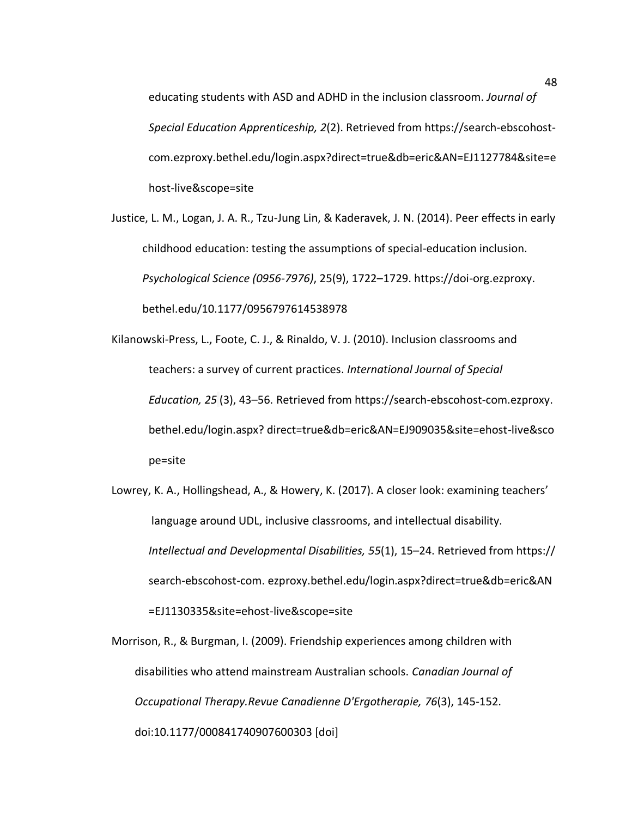educating students with ASD and ADHD in the inclusion classroom. *Journal of Special Education Apprenticeship, 2*(2). Retrieved from https://search-ebscohostcom.ezproxy.bethel.edu/login.aspx?direct=true&db=eric&AN=EJ1127784&site=e host-live&scope=site

Justice, L. M., Logan, J. A. R., Tzu-Jung Lin, & Kaderavek, J. N. (2014). Peer effects in early childhood education: testing the assumptions of special-education inclusion. *Psychological Science (0956-7976)*, 25(9), 1722–1729. https://doi-org.ezproxy. bethel.edu/10.1177/0956797614538978

Kilanowski-Press, L., Foote, C. J., & Rinaldo, V. J. (2010). Inclusion classrooms and teachers: a survey of current practices. *International Journal of Special Education, 25* (3), 43–56. Retrieved from https://search-ebscohost-com.ezproxy. bethel.edu/login.aspx? direct=true&db=eric&AN=EJ909035&site=ehost-live&sco pe=site

Lowrey, K. A., Hollingshead, A., & Howery, K. (2017). A closer look: examining teachers' language around UDL, inclusive classrooms, and intellectual disability. *Intellectual and Developmental Disabilities, 55*(1), 15–24. Retrieved from https:// search-ebscohost-com. ezproxy.bethel.edu/login.aspx?direct=true&db=eric&AN =EJ1130335&site=ehost-live&scope=site

Morrison, R., & Burgman, I. (2009). Friendship experiences among children with disabilities who attend mainstream Australian schools. *Canadian Journal of Occupational Therapy.Revue Canadienne D'Ergotherapie, 76*(3), 145-152. doi:10.1177/000841740907600303 [doi]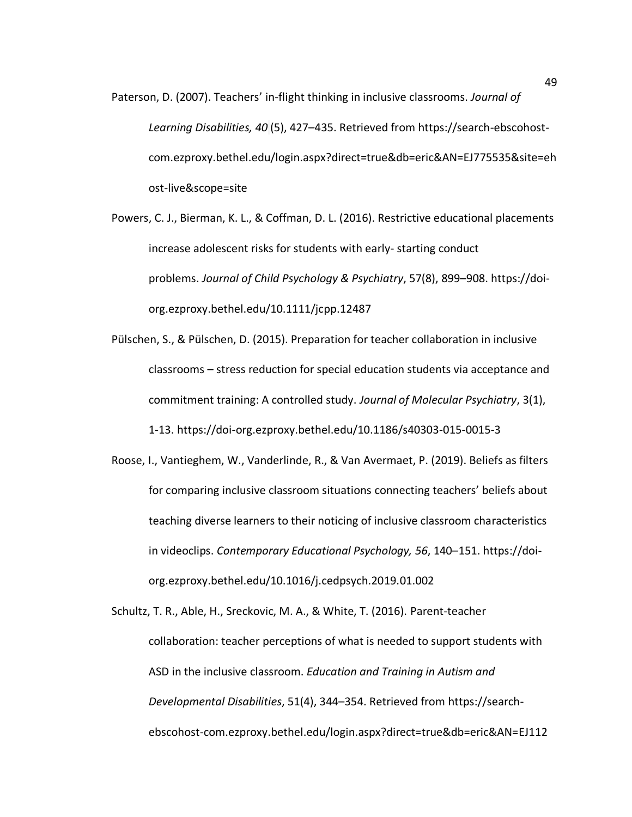- Paterson, D. (2007). Teachers' in-flight thinking in inclusive classrooms. *Journal of Learning Disabilities, 40* (5), 427–435. Retrieved from https://search-ebscohostcom.ezproxy.bethel.edu/login.aspx?direct=true&db=eric&AN=EJ775535&site=eh ost-live&scope=site
- Powers, C. J., Bierman, K. L., & Coffman, D. L. (2016). Restrictive educational placements increase adolescent risks for students with early- starting conduct problems. *Journal of Child Psychology & Psychiatry*, 57(8), 899–908. https://doiorg.ezproxy.bethel.edu/10.1111/jcpp.12487
- Pülschen, S., & Pülschen, D. (2015). Preparation for teacher collaboration in inclusive classrooms – stress reduction for special education students via acceptance and commitment training: A controlled study. *Journal of Molecular Psychiatry*, 3(1), 1-13. https://doi-org.ezproxy.bethel.edu/10.1186/s40303-015-0015-3
- Roose, I., Vantieghem, W., Vanderlinde, R., & Van Avermaet, P. (2019). Beliefs as filters for comparing inclusive classroom situations connecting teachers' beliefs about teaching diverse learners to their noticing of inclusive classroom characteristics in videoclips. *Contemporary Educational Psychology, 56*, 140–151. https://doiorg.ezproxy.bethel.edu/10.1016/j.cedpsych.2019.01.002
- Schultz, T. R., Able, H., Sreckovic, M. A., & White, T. (2016). Parent-teacher collaboration: teacher perceptions of what is needed to support students with ASD in the inclusive classroom. *Education and Training in Autism and Developmental Disabilities*, 51(4), 344–354. Retrieved from https://searchebscohost-com.ezproxy.bethel.edu/login.aspx?direct=true&db=eric&AN=EJ112